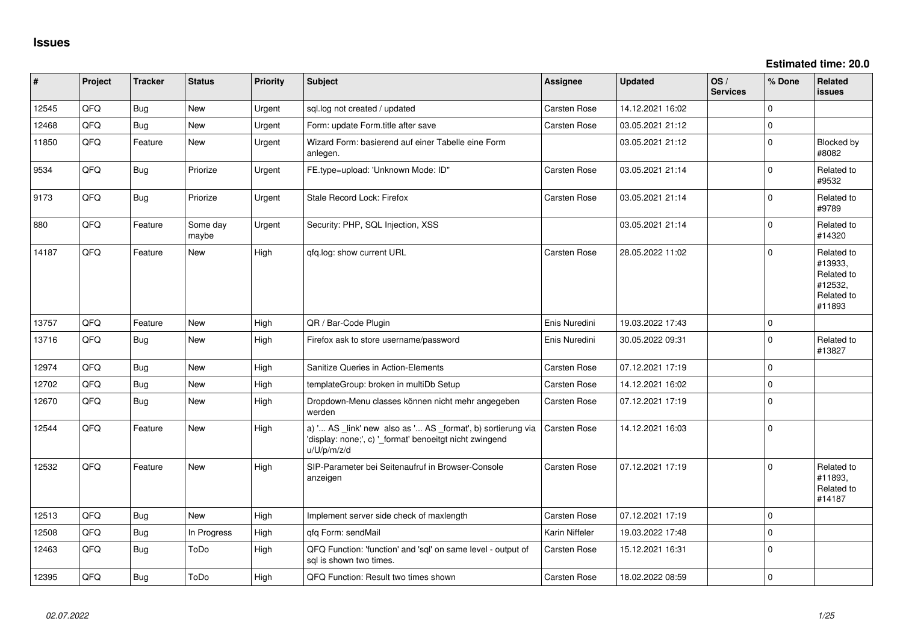**Estimated time: 20.0**

| #     | Project | <b>Tracker</b> | <b>Status</b>     | Priority | <b>Subject</b>                                                                                                                        | Assignee            | <b>Updated</b>   | OS/<br><b>Services</b> | % Done      | <b>Related</b><br>issues                                               |
|-------|---------|----------------|-------------------|----------|---------------------------------------------------------------------------------------------------------------------------------------|---------------------|------------------|------------------------|-------------|------------------------------------------------------------------------|
| 12545 | QFQ     | Bug            | New               | Urgent   | sql.log not created / updated                                                                                                         | <b>Carsten Rose</b> | 14.12.2021 16:02 |                        | $\Omega$    |                                                                        |
| 12468 | QFQ     | Bug            | <b>New</b>        | Urgent   | Form: update Form.title after save                                                                                                    | <b>Carsten Rose</b> | 03.05.2021 21:12 |                        | $\Omega$    |                                                                        |
| 11850 | QFQ     | Feature        | New               | Urgent   | Wizard Form: basierend auf einer Tabelle eine Form<br>anlegen.                                                                        |                     | 03.05.2021 21:12 |                        | $\Omega$    | Blocked by<br>#8082                                                    |
| 9534  | QFQ     | Bug            | Priorize          | Urgent   | FE.type=upload: 'Unknown Mode: ID"                                                                                                    | Carsten Rose        | 03.05.2021 21:14 |                        | $\Omega$    | Related to<br>#9532                                                    |
| 9173  | QFQ     | Bug            | Priorize          | Urgent   | Stale Record Lock: Firefox                                                                                                            | <b>Carsten Rose</b> | 03.05.2021 21:14 |                        | $\Omega$    | Related to<br>#9789                                                    |
| 880   | QFQ     | Feature        | Some day<br>maybe | Urgent   | Security: PHP, SQL Injection, XSS                                                                                                     |                     | 03.05.2021 21:14 |                        | $\Omega$    | Related to<br>#14320                                                   |
| 14187 | QFQ     | Feature        | <b>New</b>        | High     | qfq.log: show current URL                                                                                                             | <b>Carsten Rose</b> | 28.05.2022 11:02 |                        | $\Omega$    | Related to<br>#13933,<br>Related to<br>#12532,<br>Related to<br>#11893 |
| 13757 | QFQ     | Feature        | <b>New</b>        | High     | QR / Bar-Code Plugin                                                                                                                  | Enis Nuredini       | 19.03.2022 17:43 |                        | $\mathbf 0$ |                                                                        |
| 13716 | QFQ     | Bug            | <b>New</b>        | High     | Firefox ask to store username/password                                                                                                | Enis Nuredini       | 30.05.2022 09:31 |                        | $\Omega$    | Related to<br>#13827                                                   |
| 12974 | QFQ     | Bug            | <b>New</b>        | High     | Sanitize Queries in Action-Elements                                                                                                   | <b>Carsten Rose</b> | 07.12.2021 17:19 |                        | $\Omega$    |                                                                        |
| 12702 | QFQ     | Bug            | <b>New</b>        | High     | templateGroup: broken in multiDb Setup                                                                                                | <b>Carsten Rose</b> | 14.12.2021 16:02 |                        | $\mathbf 0$ |                                                                        |
| 12670 | QFQ     | Bug            | <b>New</b>        | High     | Dropdown-Menu classes können nicht mehr angegeben<br>werden                                                                           | <b>Carsten Rose</b> | 07.12.2021 17:19 |                        | $\Omega$    |                                                                        |
| 12544 | QFQ     | Feature        | <b>New</b>        | High     | a) ' AS _link' new also as ' AS _format', b) sortierung via<br>'display: none;', c) '_format' benoeitgt nicht zwingend<br>u/U/p/m/z/d | <b>Carsten Rose</b> | 14.12.2021 16:03 |                        | $\Omega$    |                                                                        |
| 12532 | QFQ     | Feature        | <b>New</b>        | High     | SIP-Parameter bei Seitenaufruf in Browser-Console<br>anzeigen                                                                         | <b>Carsten Rose</b> | 07.12.2021 17:19 |                        | $\Omega$    | Related to<br>#11893,<br>Related to<br>#14187                          |
| 12513 | QFQ     | Bug            | <b>New</b>        | High     | Implement server side check of maxlength                                                                                              | Carsten Rose        | 07.12.2021 17:19 |                        | $\mathbf 0$ |                                                                        |
| 12508 | QFQ     | <b>Bug</b>     | In Progress       | High     | qfq Form: sendMail                                                                                                                    | Karin Niffeler      | 19.03.2022 17:48 |                        | $\mathbf 0$ |                                                                        |
| 12463 | QFQ     | Bug            | ToDo              | High     | QFQ Function: 'function' and 'sql' on same level - output of<br>sal is shown two times.                                               | <b>Carsten Rose</b> | 15.12.2021 16:31 |                        | $\Omega$    |                                                                        |
| 12395 | QFQ     | Bug            | ToDo              | High     | QFQ Function: Result two times shown                                                                                                  | <b>Carsten Rose</b> | 18.02.2022 08:59 |                        | $\mathbf 0$ |                                                                        |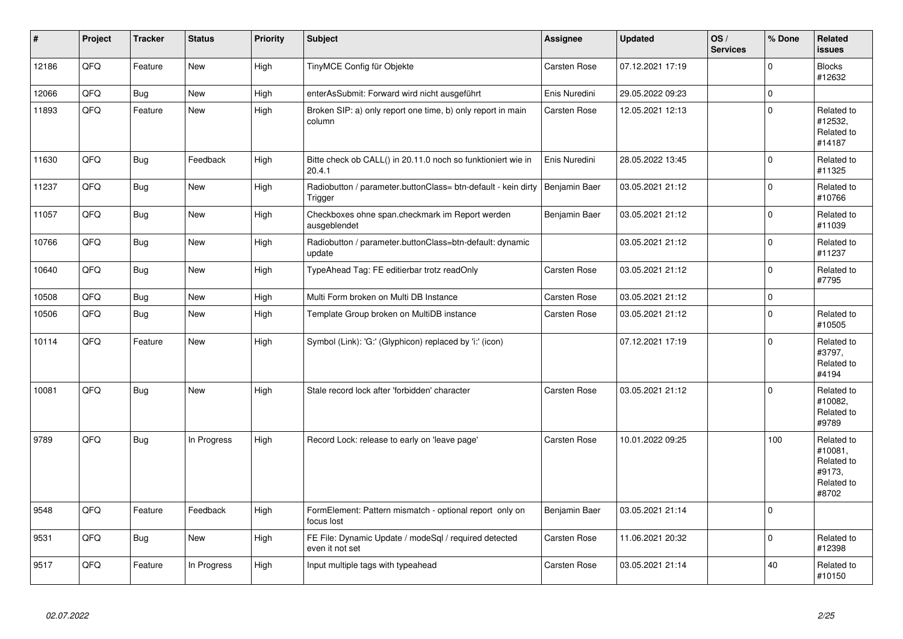| #     | Project | <b>Tracker</b> | <b>Status</b> | <b>Priority</b> | <b>Subject</b>                                                           | Assignee      | <b>Updated</b>   | OS/<br><b>Services</b> | % Done      | Related<br><b>issues</b>                                             |
|-------|---------|----------------|---------------|-----------------|--------------------------------------------------------------------------|---------------|------------------|------------------------|-------------|----------------------------------------------------------------------|
| 12186 | QFQ     | Feature        | <b>New</b>    | High            | TinyMCE Config für Objekte                                               | Carsten Rose  | 07.12.2021 17:19 |                        | $\Omega$    | <b>Blocks</b><br>#12632                                              |
| 12066 | QFQ     | Bug            | <b>New</b>    | High            | enterAsSubmit: Forward wird nicht ausgeführt                             | Enis Nuredini | 29.05.2022 09:23 |                        | $\Omega$    |                                                                      |
| 11893 | QFQ     | Feature        | New           | High            | Broken SIP: a) only report one time, b) only report in main<br>column    | Carsten Rose  | 12.05.2021 12:13 |                        | $\mathbf 0$ | Related to<br>#12532,<br>Related to<br>#14187                        |
| 11630 | QFQ     | <b>Bug</b>     | Feedback      | High            | Bitte check ob CALL() in 20.11.0 noch so funktioniert wie in<br>20.4.1   | Enis Nuredini | 28.05.2022 13:45 |                        | $\mathbf 0$ | Related to<br>#11325                                                 |
| 11237 | QFQ     | <b>Bug</b>     | New           | High            | Radiobutton / parameter.buttonClass= btn-default - kein dirty<br>Trigger | Benjamin Baer | 03.05.2021 21:12 |                        | $\Omega$    | Related to<br>#10766                                                 |
| 11057 | QFQ     | <b>Bug</b>     | New           | High            | Checkboxes ohne span.checkmark im Report werden<br>ausgeblendet          | Benjamin Baer | 03.05.2021 21:12 |                        | $\Omega$    | Related to<br>#11039                                                 |
| 10766 | QFQ     | <b>Bug</b>     | <b>New</b>    | High            | Radiobutton / parameter.buttonClass=btn-default: dynamic<br>update       |               | 03.05.2021 21:12 |                        | $\Omega$    | Related to<br>#11237                                                 |
| 10640 | QFQ     | Bug            | New           | High            | TypeAhead Tag: FE editierbar trotz readOnly                              | Carsten Rose  | 03.05.2021 21:12 |                        | $\Omega$    | Related to<br>#7795                                                  |
| 10508 | QFQ     | Bug            | <b>New</b>    | High            | Multi Form broken on Multi DB Instance                                   | Carsten Rose  | 03.05.2021 21:12 |                        | $\Omega$    |                                                                      |
| 10506 | QFQ     | Bug            | <b>New</b>    | High            | Template Group broken on MultiDB instance                                | Carsten Rose  | 03.05.2021 21:12 |                        | $\Omega$    | Related to<br>#10505                                                 |
| 10114 | QFQ     | Feature        | <b>New</b>    | High            | Symbol (Link): 'G:' (Glyphicon) replaced by 'i:' (icon)                  |               | 07.12.2021 17:19 |                        | $\Omega$    | Related to<br>#3797,<br>Related to<br>#4194                          |
| 10081 | QFQ     | Bug            | New           | High            | Stale record lock after 'forbidden' character                            | Carsten Rose  | 03.05.2021 21:12 |                        | $\Omega$    | Related to<br>#10082,<br>Related to<br>#9789                         |
| 9789  | QFQ     | Bug            | In Progress   | High            | Record Lock: release to early on 'leave page'                            | Carsten Rose  | 10.01.2022 09:25 |                        | 100         | Related to<br>#10081,<br>Related to<br>#9173.<br>Related to<br>#8702 |
| 9548  | QFQ     | Feature        | Feedback      | High            | FormElement: Pattern mismatch - optional report only on<br>focus lost    | Benjamin Baer | 03.05.2021 21:14 |                        | $\Omega$    |                                                                      |
| 9531  | QFQ     | <b>Bug</b>     | New           | High            | FE File: Dynamic Update / modeSql / required detected<br>even it not set | Carsten Rose  | 11.06.2021 20:32 |                        | $\mathbf 0$ | Related to<br>#12398                                                 |
| 9517  | QFQ     | Feature        | In Progress   | High            | Input multiple tags with typeahead                                       | Carsten Rose  | 03.05.2021 21:14 |                        | 40          | Related to<br>#10150                                                 |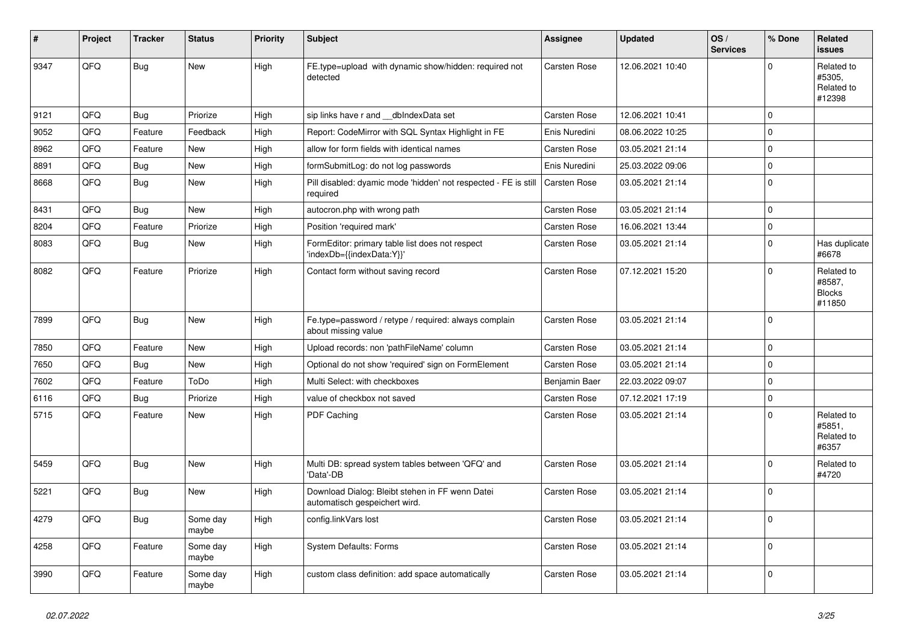| ∦    | Project | <b>Tracker</b> | <b>Status</b>     | <b>Priority</b> | <b>Subject</b>                                                                   | <b>Assignee</b>     | <b>Updated</b>   | OS/<br><b>Services</b> | % Done      | Related<br><b>issues</b>                        |
|------|---------|----------------|-------------------|-----------------|----------------------------------------------------------------------------------|---------------------|------------------|------------------------|-------------|-------------------------------------------------|
| 9347 | QFQ     | <b>Bug</b>     | <b>New</b>        | High            | FE.type=upload with dynamic show/hidden: required not<br>detected                | <b>Carsten Rose</b> | 12.06.2021 10:40 |                        | $\Omega$    | Related to<br>#5305,<br>Related to<br>#12398    |
| 9121 | QFQ     | Bug            | Priorize          | High            | sip links have r and __dbIndexData set                                           | <b>Carsten Rose</b> | 12.06.2021 10:41 |                        | $\Omega$    |                                                 |
| 9052 | QFQ     | Feature        | Feedback          | High            | Report: CodeMirror with SQL Syntax Highlight in FE                               | Enis Nuredini       | 08.06.2022 10:25 |                        | $\Omega$    |                                                 |
| 8962 | QFQ     | Feature        | <b>New</b>        | High            | allow for form fields with identical names                                       | <b>Carsten Rose</b> | 03.05.2021 21:14 |                        | $\Omega$    |                                                 |
| 8891 | QFQ     | <b>Bug</b>     | <b>New</b>        | High            | formSubmitLog: do not log passwords                                              | Enis Nuredini       | 25.03.2022 09:06 |                        | $\Omega$    |                                                 |
| 8668 | QFQ     | <b>Bug</b>     | <b>New</b>        | High            | Pill disabled: dyamic mode 'hidden' not respected - FE is still<br>required      | Carsten Rose        | 03.05.2021 21:14 |                        | $\Omega$    |                                                 |
| 8431 | QFQ     | Bug            | <b>New</b>        | High            | autocron.php with wrong path                                                     | <b>Carsten Rose</b> | 03.05.2021 21:14 |                        | $\Omega$    |                                                 |
| 8204 | QFQ     | Feature        | Priorize          | High            | Position 'required mark'                                                         | <b>Carsten Rose</b> | 16.06.2021 13:44 |                        | $\mathbf 0$ |                                                 |
| 8083 | QFQ     | <b>Bug</b>     | <b>New</b>        | High            | FormEditor: primary table list does not respect<br>'indexDb={{indexData:Y}}'     | <b>Carsten Rose</b> | 03.05.2021 21:14 |                        | $\mathbf 0$ | Has duplicate<br>#6678                          |
| 8082 | QFQ     | Feature        | Priorize          | High            | Contact form without saving record                                               | <b>Carsten Rose</b> | 07.12.2021 15:20 |                        | $\Omega$    | Related to<br>#8587,<br><b>Blocks</b><br>#11850 |
| 7899 | QFQ     | <b>Bug</b>     | <b>New</b>        | High            | Fe.type=password / retype / required: always complain<br>about missing value     | <b>Carsten Rose</b> | 03.05.2021 21:14 |                        | $\Omega$    |                                                 |
| 7850 | QFQ     | Feature        | <b>New</b>        | High            | Upload records: non 'pathFileName' column                                        | Carsten Rose        | 03.05.2021 21:14 |                        | $\mathbf 0$ |                                                 |
| 7650 | QFQ     | Bug            | New               | High            | Optional do not show 'required' sign on FormElement                              | Carsten Rose        | 03.05.2021 21:14 |                        | $\mathbf 0$ |                                                 |
| 7602 | QFQ     | Feature        | ToDo              | High            | Multi Select: with checkboxes                                                    | Benjamin Baer       | 22.03.2022 09:07 |                        | $\Omega$    |                                                 |
| 6116 | QFQ     | Bug            | Priorize          | High            | value of checkbox not saved                                                      | Carsten Rose        | 07.12.2021 17:19 |                        | $\mathbf 0$ |                                                 |
| 5715 | QFQ     | Feature        | <b>New</b>        | High            | PDF Caching                                                                      | Carsten Rose        | 03.05.2021 21:14 |                        | $\Omega$    | Related to<br>#5851,<br>Related to<br>#6357     |
| 5459 | QFQ     | <b>Bug</b>     | <b>New</b>        | High            | Multi DB: spread system tables between 'QFQ' and<br>'Data'-DB                    | <b>Carsten Rose</b> | 03.05.2021 21:14 |                        | $\Omega$    | Related to<br>#4720                             |
| 5221 | QFQ     | Bug            | New               | High            | Download Dialog: Bleibt stehen in FF wenn Datei<br>automatisch gespeichert wird. | <b>Carsten Rose</b> | 03.05.2021 21:14 |                        | $\mathbf 0$ |                                                 |
| 4279 | QFQ     | <b>Bug</b>     | Some day<br>maybe | High            | config.linkVars lost                                                             | Carsten Rose        | 03.05.2021 21:14 |                        | $\Omega$    |                                                 |
| 4258 | QFQ     | Feature        | Some day<br>maybe | High            | System Defaults: Forms                                                           | Carsten Rose        | 03.05.2021 21:14 |                        | $\Omega$    |                                                 |
| 3990 | QFQ     | Feature        | Some day<br>maybe | High            | custom class definition: add space automatically                                 | Carsten Rose        | 03.05.2021 21:14 |                        | $\mathbf 0$ |                                                 |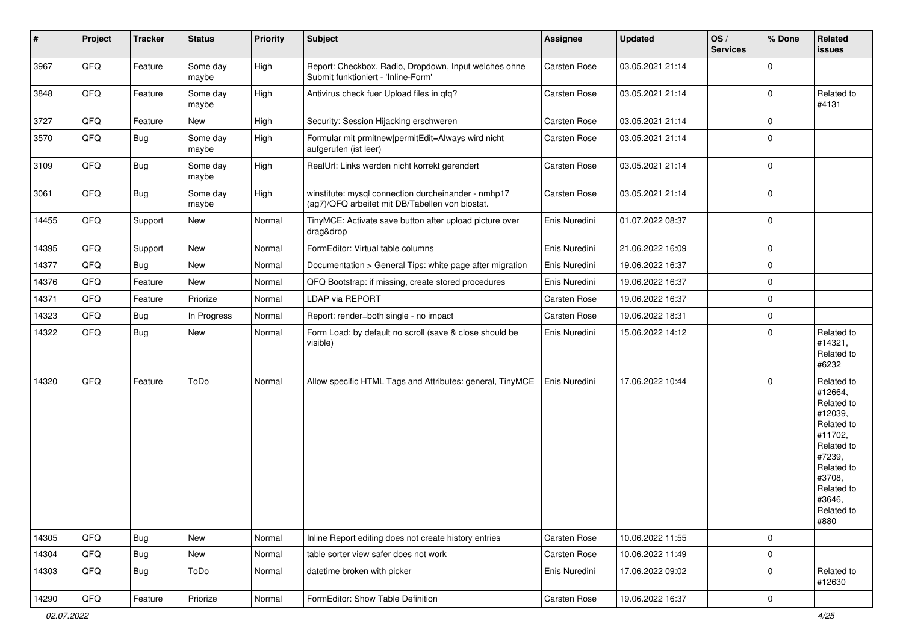| $\vert$ # | Project | <b>Tracker</b> | <b>Status</b>     | <b>Priority</b> | <b>Subject</b>                                                                                         | <b>Assignee</b>     | <b>Updated</b>   | OS/<br><b>Services</b> | % Done              | Related<br>issues                                                                                                                                                     |
|-----------|---------|----------------|-------------------|-----------------|--------------------------------------------------------------------------------------------------------|---------------------|------------------|------------------------|---------------------|-----------------------------------------------------------------------------------------------------------------------------------------------------------------------|
| 3967      | QFQ     | Feature        | Some day<br>maybe | High            | Report: Checkbox, Radio, Dropdown, Input welches ohne<br>Submit funktioniert - 'Inline-Form'           | Carsten Rose        | 03.05.2021 21:14 |                        | $\mathbf 0$         |                                                                                                                                                                       |
| 3848      | QFQ     | Feature        | Some day<br>maybe | High            | Antivirus check fuer Upload files in qfq?                                                              | <b>Carsten Rose</b> | 03.05.2021 21:14 |                        | $\mathbf 0$         | Related to<br>#4131                                                                                                                                                   |
| 3727      | QFQ     | Feature        | New               | High            | Security: Session Hijacking erschweren                                                                 | <b>Carsten Rose</b> | 03.05.2021 21:14 |                        | 0                   |                                                                                                                                                                       |
| 3570      | QFQ     | <b>Bug</b>     | Some day<br>maybe | High            | Formular mit prmitnew permitEdit=Always wird nicht<br>aufgerufen (ist leer)                            | Carsten Rose        | 03.05.2021 21:14 |                        | $\mathbf 0$         |                                                                                                                                                                       |
| 3109      | QFQ     | Bug            | Some day<br>maybe | High            | RealUrl: Links werden nicht korrekt gerendert                                                          | Carsten Rose        | 03.05.2021 21:14 |                        | $\mathbf 0$         |                                                                                                                                                                       |
| 3061      | QFQ     | <b>Bug</b>     | Some day<br>maybe | High            | winstitute: mysql connection durcheinander - nmhp17<br>(ag7)/QFQ arbeitet mit DB/Tabellen von biostat. | Carsten Rose        | 03.05.2021 21:14 |                        | $\mathbf 0$         |                                                                                                                                                                       |
| 14455     | QFQ     | Support        | New               | Normal          | TinyMCE: Activate save button after upload picture over<br>drag&drop                                   | Enis Nuredini       | 01.07.2022 08:37 |                        | $\pmb{0}$           |                                                                                                                                                                       |
| 14395     | QFQ     | Support        | New               | Normal          | FormEditor: Virtual table columns                                                                      | Enis Nuredini       | 21.06.2022 16:09 |                        | $\mathbf 0$         |                                                                                                                                                                       |
| 14377     | QFQ     | Bug            | New               | Normal          | Documentation > General Tips: white page after migration                                               | Enis Nuredini       | 19.06.2022 16:37 |                        | 0                   |                                                                                                                                                                       |
| 14376     | QFQ     | Feature        | New               | Normal          | QFQ Bootstrap: if missing, create stored procedures                                                    | Enis Nuredini       | 19.06.2022 16:37 |                        | $\mathbf 0$         |                                                                                                                                                                       |
| 14371     | QFQ     | Feature        | Priorize          | Normal          | LDAP via REPORT                                                                                        | Carsten Rose        | 19.06.2022 16:37 |                        | $\mathbf 0$         |                                                                                                                                                                       |
| 14323     | QFQ     | <b>Bug</b>     | In Progress       | Normal          | Report: render=both single - no impact                                                                 | <b>Carsten Rose</b> | 19.06.2022 18:31 |                        | $\mathbf 0$         |                                                                                                                                                                       |
| 14322     | QFQ     | Bug            | New               | Normal          | Form Load: by default no scroll (save & close should be<br>visible)                                    | Enis Nuredini       | 15.06.2022 14:12 |                        | $\mathbf 0$         | Related to<br>#14321,<br>Related to<br>#6232                                                                                                                          |
| 14320     | QFQ     | Feature        | ToDo              | Normal          | Allow specific HTML Tags and Attributes: general, TinyMCE                                              | Enis Nuredini       | 17.06.2022 10:44 |                        | $\mathbf 0$         | Related to<br>#12664,<br>Related to<br>#12039,<br>Related to<br>#11702,<br>Related to<br>#7239,<br>Related to<br>#3708,<br>Related to<br>#3646,<br>Related to<br>#880 |
| 14305     | QFQ     | Bug            | New               | Normal          | Inline Report editing does not create history entries                                                  | Carsten Rose        | 10.06.2022 11:55 |                        | $\mathsf{O}\xspace$ |                                                                                                                                                                       |
| 14304     | QFQ     | <b>Bug</b>     | New               | Normal          | table sorter view safer does not work                                                                  | Carsten Rose        | 10.06.2022 11:49 |                        | $\pmb{0}$           |                                                                                                                                                                       |
| 14303     | QFQ     | <b>Bug</b>     | ToDo              | Normal          | datetime broken with picker                                                                            | Enis Nuredini       | 17.06.2022 09:02 |                        | 0                   | Related to<br>#12630                                                                                                                                                  |
| 14290     | QFG     | Feature        | Priorize          | Normal          | FormEditor: Show Table Definition                                                                      | Carsten Rose        | 19.06.2022 16:37 |                        | $\pmb{0}$           |                                                                                                                                                                       |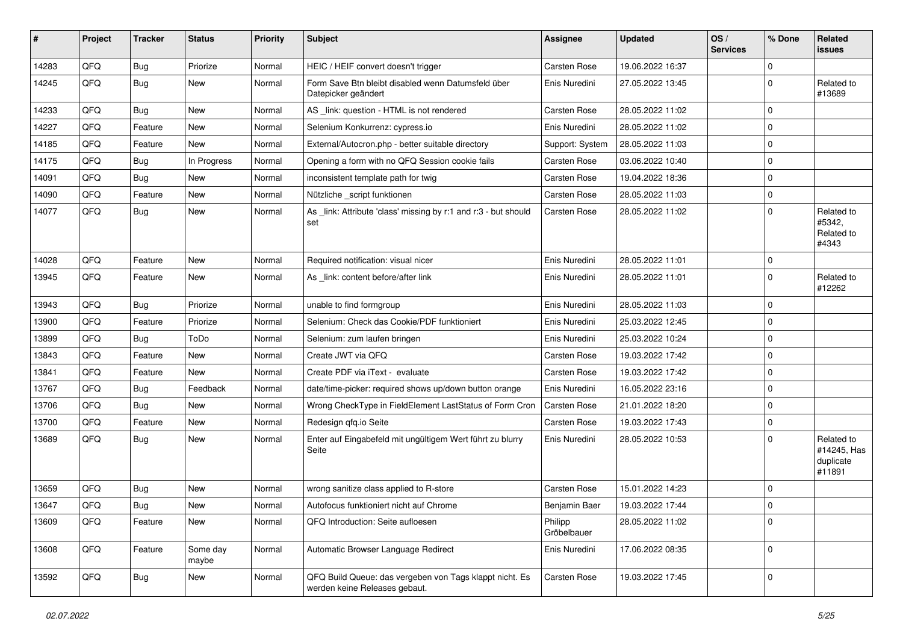| #     | Project | <b>Tracker</b> | <b>Status</b>     | <b>Priority</b> | Subject                                                                                  | Assignee               | <b>Updated</b>   | OS/<br><b>Services</b> | % Done      | Related<br><b>issues</b>                         |
|-------|---------|----------------|-------------------|-----------------|------------------------------------------------------------------------------------------|------------------------|------------------|------------------------|-------------|--------------------------------------------------|
| 14283 | QFQ     | Bug            | Priorize          | Normal          | HEIC / HEIF convert doesn't trigger                                                      | Carsten Rose           | 19.06.2022 16:37 |                        | $\mathbf 0$ |                                                  |
| 14245 | QFQ     | Bug            | New               | Normal          | Form Save Btn bleibt disabled wenn Datumsfeld über<br>Datepicker geändert                | Enis Nuredini          | 27.05.2022 13:45 |                        | 0           | Related to<br>#13689                             |
| 14233 | QFQ     | Bug            | <b>New</b>        | Normal          | AS_link: question - HTML is not rendered                                                 | Carsten Rose           | 28.05.2022 11:02 |                        | $\mathbf 0$ |                                                  |
| 14227 | QFQ     | Feature        | New               | Normal          | Selenium Konkurrenz: cypress.io                                                          | Enis Nuredini          | 28.05.2022 11:02 |                        | 0           |                                                  |
| 14185 | QFQ     | Feature        | <b>New</b>        | Normal          | External/Autocron.php - better suitable directory                                        | Support: System        | 28.05.2022 11:03 |                        | $\mathbf 0$ |                                                  |
| 14175 | QFQ     | <b>Bug</b>     | In Progress       | Normal          | Opening a form with no QFQ Session cookie fails                                          | Carsten Rose           | 03.06.2022 10:40 |                        | $\mathbf 0$ |                                                  |
| 14091 | QFQ     | <b>Bug</b>     | <b>New</b>        | Normal          | inconsistent template path for twig                                                      | Carsten Rose           | 19.04.2022 18:36 |                        | $\mathbf 0$ |                                                  |
| 14090 | QFQ     | Feature        | <b>New</b>        | Normal          | Nützliche _script funktionen                                                             | Carsten Rose           | 28.05.2022 11:03 |                        | $\mathbf 0$ |                                                  |
| 14077 | QFQ     | Bug            | New               | Normal          | As _link: Attribute 'class' missing by r:1 and r:3 - but should<br>set                   | Carsten Rose           | 28.05.2022 11:02 |                        | $\mathbf 0$ | Related to<br>#5342,<br>Related to<br>#4343      |
| 14028 | QFQ     | Feature        | <b>New</b>        | Normal          | Required notification: visual nicer                                                      | Enis Nuredini          | 28.05.2022 11:01 |                        | $\mathbf 0$ |                                                  |
| 13945 | QFQ     | Feature        | New               | Normal          | As _link: content before/after link                                                      | Enis Nuredini          | 28.05.2022 11:01 |                        | 0           | Related to<br>#12262                             |
| 13943 | QFQ     | Bug            | Priorize          | Normal          | unable to find formgroup                                                                 | Enis Nuredini          | 28.05.2022 11:03 |                        | $\mathbf 0$ |                                                  |
| 13900 | QFQ     | Feature        | Priorize          | Normal          | Selenium: Check das Cookie/PDF funktioniert                                              | Enis Nuredini          | 25.03.2022 12:45 |                        | 0           |                                                  |
| 13899 | QFQ     | Bug            | ToDo              | Normal          | Selenium: zum laufen bringen                                                             | Enis Nuredini          | 25.03.2022 10:24 |                        | $\mathbf 0$ |                                                  |
| 13843 | QFQ     | Feature        | <b>New</b>        | Normal          | Create JWT via QFQ                                                                       | <b>Carsten Rose</b>    | 19.03.2022 17:42 |                        | $\mathbf 0$ |                                                  |
| 13841 | QFQ     | Feature        | New               | Normal          | Create PDF via iText - evaluate                                                          | <b>Carsten Rose</b>    | 19.03.2022 17:42 |                        | $\mathbf 0$ |                                                  |
| 13767 | QFQ     | Bug            | Feedback          | Normal          | date/time-picker: required shows up/down button orange                                   | Enis Nuredini          | 16.05.2022 23:16 |                        | $\mathbf 0$ |                                                  |
| 13706 | QFQ     | Bug            | New               | Normal          | Wrong CheckType in FieldElement LastStatus of Form Cron                                  | Carsten Rose           | 21.01.2022 18:20 |                        | $\mathbf 0$ |                                                  |
| 13700 | QFQ     | Feature        | New               | Normal          | Redesign qfq.io Seite                                                                    | <b>Carsten Rose</b>    | 19.03.2022 17:43 |                        | $\mathbf 0$ |                                                  |
| 13689 | QFQ     | <b>Bug</b>     | New               | Normal          | Enter auf Eingabefeld mit ungültigem Wert führt zu blurry<br>Seite                       | Enis Nuredini          | 28.05.2022 10:53 |                        | $\Omega$    | Related to<br>#14245, Has<br>duplicate<br>#11891 |
| 13659 | QFQ     | Bug            | <b>New</b>        | Normal          | wrong sanitize class applied to R-store                                                  | <b>Carsten Rose</b>    | 15.01.2022 14:23 |                        | $\mathbf 0$ |                                                  |
| 13647 | QFQ     | Bug            | <b>New</b>        | Normal          | Autofocus funktioniert nicht auf Chrome                                                  | Benjamin Baer          | 19.03.2022 17:44 |                        | $\mathbf 0$ |                                                  |
| 13609 | QFQ     | Feature        | New               | Normal          | QFQ Introduction: Seite aufloesen                                                        | Philipp<br>Gröbelbauer | 28.05.2022 11:02 |                        | $\pmb{0}$   |                                                  |
| 13608 | QFQ     | Feature        | Some day<br>maybe | Normal          | Automatic Browser Language Redirect                                                      | Enis Nuredini          | 17.06.2022 08:35 |                        | $\mathbf 0$ |                                                  |
| 13592 | QFQ     | <b>Bug</b>     | New               | Normal          | QFQ Build Queue: das vergeben von Tags klappt nicht. Es<br>werden keine Releases gebaut. | Carsten Rose           | 19.03.2022 17:45 |                        | $\mathbf 0$ |                                                  |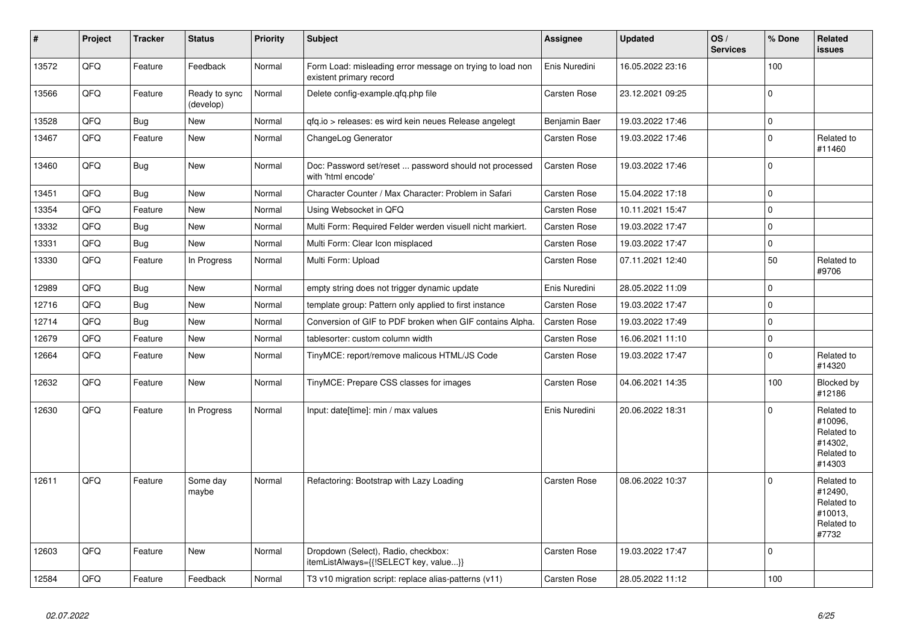| #     | <b>Project</b> | <b>Tracker</b> | <b>Status</b>              | <b>Priority</b> | <b>Subject</b>                                                                       | <b>Assignee</b> | <b>Updated</b>   | OS/<br><b>Services</b> | % Done      | Related<br>issues                                                      |
|-------|----------------|----------------|----------------------------|-----------------|--------------------------------------------------------------------------------------|-----------------|------------------|------------------------|-------------|------------------------------------------------------------------------|
| 13572 | QFQ            | Feature        | Feedback                   | Normal          | Form Load: misleading error message on trying to load non<br>existent primary record | Enis Nuredini   | 16.05.2022 23:16 |                        | 100         |                                                                        |
| 13566 | QFQ            | Feature        | Ready to sync<br>(develop) | Normal          | Delete config-example.qfq.php file                                                   | Carsten Rose    | 23.12.2021 09:25 |                        | $\mathbf 0$ |                                                                        |
| 13528 | QFQ            | Bug            | <b>New</b>                 | Normal          | qfq.io > releases: es wird kein neues Release angelegt                               | Benjamin Baer   | 19.03.2022 17:46 |                        | $\pmb{0}$   |                                                                        |
| 13467 | QFQ            | Feature        | <b>New</b>                 | Normal          | ChangeLog Generator                                                                  | Carsten Rose    | 19.03.2022 17:46 |                        | $\mathbf 0$ | Related to<br>#11460                                                   |
| 13460 | QFQ            | Bug            | <b>New</b>                 | Normal          | Doc: Password set/reset  password should not processed<br>with 'html encode'         | Carsten Rose    | 19.03.2022 17:46 |                        | $\pmb{0}$   |                                                                        |
| 13451 | QFQ            | Bug            | <b>New</b>                 | Normal          | Character Counter / Max Character: Problem in Safari                                 | Carsten Rose    | 15.04.2022 17:18 |                        | $\pmb{0}$   |                                                                        |
| 13354 | QFQ            | Feature        | New                        | Normal          | Using Websocket in QFQ                                                               | Carsten Rose    | 10.11.2021 15:47 |                        | $\mathbf 0$ |                                                                        |
| 13332 | QFQ            | Bug            | <b>New</b>                 | Normal          | Multi Form: Required Felder werden visuell nicht markiert.                           | Carsten Rose    | 19.03.2022 17:47 |                        | 0           |                                                                        |
| 13331 | QFQ            | Bug            | New                        | Normal          | Multi Form: Clear Icon misplaced                                                     | Carsten Rose    | 19.03.2022 17:47 |                        | $\pmb{0}$   |                                                                        |
| 13330 | QFQ            | Feature        | In Progress                | Normal          | Multi Form: Upload                                                                   | Carsten Rose    | 07.11.2021 12:40 |                        | 50          | Related to<br>#9706                                                    |
| 12989 | QFQ            | <b>Bug</b>     | <b>New</b>                 | Normal          | empty string does not trigger dynamic update                                         | Enis Nuredini   | 28.05.2022 11:09 |                        | $\Omega$    |                                                                        |
| 12716 | QFQ            | Bug            | <b>New</b>                 | Normal          | template group: Pattern only applied to first instance                               | Carsten Rose    | 19.03.2022 17:47 |                        | $\pmb{0}$   |                                                                        |
| 12714 | QFQ            | Bug            | New                        | Normal          | Conversion of GIF to PDF broken when GIF contains Alpha.                             | Carsten Rose    | 19.03.2022 17:49 |                        | $\pmb{0}$   |                                                                        |
| 12679 | QFQ            | Feature        | New                        | Normal          | tablesorter: custom column width                                                     | Carsten Rose    | 16.06.2021 11:10 |                        | 0           |                                                                        |
| 12664 | QFQ            | Feature        | <b>New</b>                 | Normal          | TinyMCE: report/remove malicous HTML/JS Code                                         | Carsten Rose    | 19.03.2022 17:47 |                        | $\mathbf 0$ | Related to<br>#14320                                                   |
| 12632 | QFQ            | Feature        | <b>New</b>                 | Normal          | TinyMCE: Prepare CSS classes for images                                              | Carsten Rose    | 04.06.2021 14:35 |                        | 100         | Blocked by<br>#12186                                                   |
| 12630 | QFQ            | Feature        | In Progress                | Normal          | Input: date[time]: min / max values                                                  | Enis Nuredini   | 20.06.2022 18:31 |                        | $\Omega$    | Related to<br>#10096,<br>Related to<br>#14302.<br>Related to<br>#14303 |
| 12611 | QFQ            | Feature        | Some day<br>maybe          | Normal          | Refactoring: Bootstrap with Lazy Loading                                             | Carsten Rose    | 08.06.2022 10:37 |                        | $\Omega$    | Related to<br>#12490,<br>Related to<br>#10013,<br>Related to<br>#7732  |
| 12603 | QFQ            | Feature        | <b>New</b>                 | Normal          | Dropdown (Select), Radio, checkbox:<br>itemListAlways={{!SELECT key, value}}         | Carsten Rose    | 19.03.2022 17:47 |                        | $\mathbf 0$ |                                                                        |
| 12584 | QFQ            | Feature        | Feedback                   | Normal          | T3 v10 migration script: replace alias-patterns (v11)                                | Carsten Rose    | 28.05.2022 11:12 |                        | 100         |                                                                        |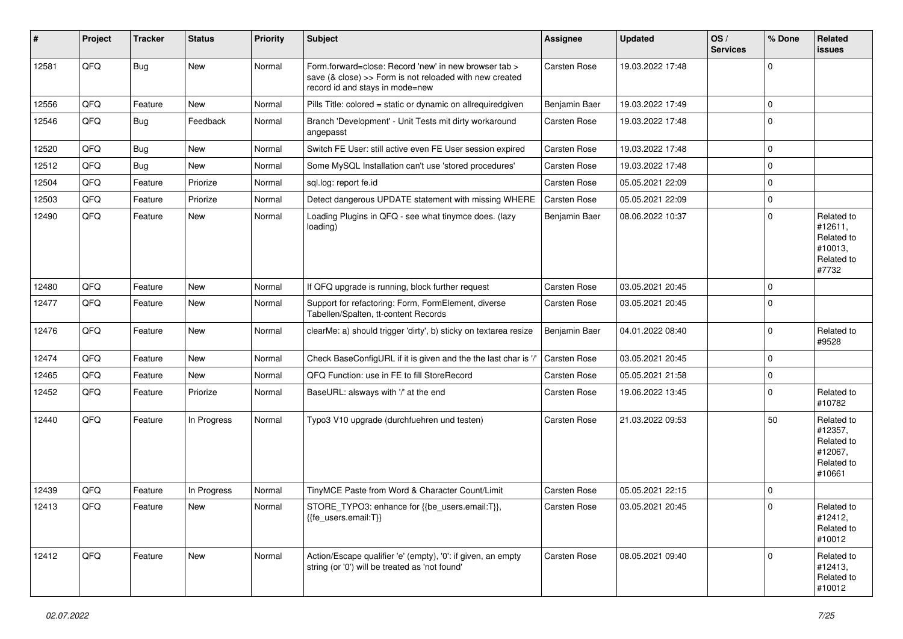| #     | Project | <b>Tracker</b> | <b>Status</b> | <b>Priority</b> | <b>Subject</b>                                                                                                                                      | Assignee            | <b>Updated</b>   | OS/<br><b>Services</b> | % Done      | Related<br><b>issues</b>                                               |
|-------|---------|----------------|---------------|-----------------|-----------------------------------------------------------------------------------------------------------------------------------------------------|---------------------|------------------|------------------------|-------------|------------------------------------------------------------------------|
| 12581 | QFQ     | Bug            | New           | Normal          | Form.forward=close: Record 'new' in new browser tab ><br>save (& close) >> Form is not reloaded with new created<br>record id and stays in mode=new | Carsten Rose        | 19.03.2022 17:48 |                        | $\Omega$    |                                                                        |
| 12556 | QFQ     | Feature        | New           | Normal          | Pills Title: colored = static or dynamic on allrequiredgiven                                                                                        | Benjamin Baer       | 19.03.2022 17:49 |                        | $\Omega$    |                                                                        |
| 12546 | QFQ     | Bug            | Feedback      | Normal          | Branch 'Development' - Unit Tests mit dirty workaround<br>angepasst                                                                                 | <b>Carsten Rose</b> | 19.03.2022 17:48 |                        | $\Omega$    |                                                                        |
| 12520 | QFQ     | Bug            | <b>New</b>    | Normal          | Switch FE User: still active even FE User session expired                                                                                           | <b>Carsten Rose</b> | 19.03.2022 17:48 |                        | $\mathbf 0$ |                                                                        |
| 12512 | QFQ     | Bug            | New           | Normal          | Some MySQL Installation can't use 'stored procedures'                                                                                               | Carsten Rose        | 19.03.2022 17:48 |                        | $\mathbf 0$ |                                                                        |
| 12504 | QFQ     | Feature        | Priorize      | Normal          | sql.log: report fe.id                                                                                                                               | <b>Carsten Rose</b> | 05.05.2021 22:09 |                        | $\Omega$    |                                                                        |
| 12503 | QFQ     | Feature        | Priorize      | Normal          | Detect dangerous UPDATE statement with missing WHERE                                                                                                | <b>Carsten Rose</b> | 05.05.2021 22:09 |                        | 0           |                                                                        |
| 12490 | QFQ     | Feature        | <b>New</b>    | Normal          | Loading Plugins in QFQ - see what tinymce does. (lazy<br>loading)                                                                                   | Benjamin Baer       | 08.06.2022 10:37 |                        | $\Omega$    | Related to<br>#12611,<br>Related to<br>#10013,<br>Related to<br>#7732  |
| 12480 | QFQ     | Feature        | <b>New</b>    | Normal          | If QFQ upgrade is running, block further request                                                                                                    | <b>Carsten Rose</b> | 03.05.2021 20:45 |                        | $\Omega$    |                                                                        |
| 12477 | QFQ     | Feature        | <b>New</b>    | Normal          | Support for refactoring: Form, FormElement, diverse<br>Tabellen/Spalten, tt-content Records                                                         | <b>Carsten Rose</b> | 03.05.2021 20:45 |                        | $\Omega$    |                                                                        |
| 12476 | QFQ     | Feature        | New           | Normal          | clearMe: a) should trigger 'dirty', b) sticky on textarea resize                                                                                    | Benjamin Baer       | 04.01.2022 08:40 |                        | $\Omega$    | Related to<br>#9528                                                    |
| 12474 | QFQ     | Feature        | <b>New</b>    | Normal          | Check BaseConfigURL if it is given and the the last char is '/'                                                                                     | <b>Carsten Rose</b> | 03.05.2021 20:45 |                        | $\Omega$    |                                                                        |
| 12465 | QFQ     | Feature        | <b>New</b>    | Normal          | QFQ Function: use in FE to fill StoreRecord                                                                                                         | <b>Carsten Rose</b> | 05.05.2021 21:58 |                        | $\Omega$    |                                                                        |
| 12452 | QFQ     | Feature        | Priorize      | Normal          | BaseURL: alsways with '/' at the end                                                                                                                | Carsten Rose        | 19.06.2022 13:45 |                        | $\Omega$    | Related to<br>#10782                                                   |
| 12440 | QFQ     | Feature        | In Progress   | Normal          | Typo3 V10 upgrade (durchfuehren und testen)                                                                                                         | <b>Carsten Rose</b> | 21.03.2022 09:53 |                        | 50          | Related to<br>#12357,<br>Related to<br>#12067,<br>Related to<br>#10661 |
| 12439 | QFQ     | Feature        | In Progress   | Normal          | TinyMCE Paste from Word & Character Count/Limit                                                                                                     | Carsten Rose        | 05.05.2021 22:15 |                        | $\Omega$    |                                                                        |
| 12413 | QFQ     | Feature        | New           | Normal          | STORE_TYPO3: enhance for {{be_users.email:T}},<br>{{fe_users.email:T}}                                                                              | <b>Carsten Rose</b> | 03.05.2021 20:45 |                        | $\Omega$    | Related to<br>#12412,<br>Related to<br>#10012                          |
| 12412 | QFQ     | Feature        | <b>New</b>    | Normal          | Action/Escape qualifier 'e' (empty), '0': if given, an empty<br>string (or '0') will be treated as 'not found'                                      | <b>Carsten Rose</b> | 08.05.2021 09:40 |                        | $\Omega$    | Related to<br>#12413,<br>Related to<br>#10012                          |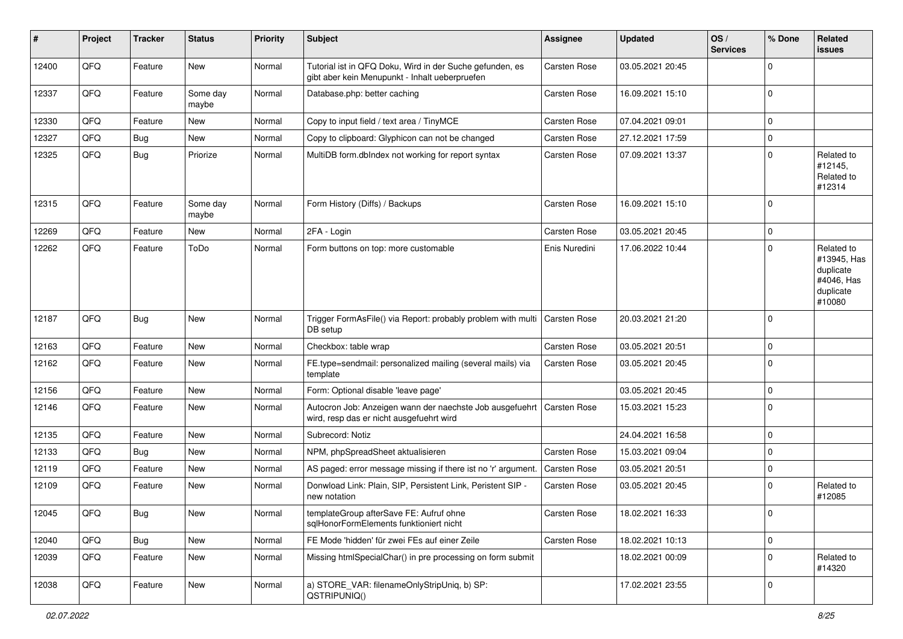| ∦     | Project | <b>Tracker</b> | <b>Status</b>     | <b>Priority</b> | <b>Subject</b>                                                                                             | <b>Assignee</b> | <b>Updated</b>   | OS/<br><b>Services</b> | % Done      | Related<br>issues                                                           |
|-------|---------|----------------|-------------------|-----------------|------------------------------------------------------------------------------------------------------------|-----------------|------------------|------------------------|-------------|-----------------------------------------------------------------------------|
| 12400 | QFQ     | Feature        | New               | Normal          | Tutorial ist in QFQ Doku, Wird in der Suche gefunden, es<br>gibt aber kein Menupunkt - Inhalt ueberpruefen | Carsten Rose    | 03.05.2021 20:45 |                        | 0           |                                                                             |
| 12337 | QFQ     | Feature        | Some day<br>maybe | Normal          | Database.php: better caching                                                                               | Carsten Rose    | 16.09.2021 15:10 |                        | $\mathbf 0$ |                                                                             |
| 12330 | QFQ     | Feature        | <b>New</b>        | Normal          | Copy to input field / text area / TinyMCE                                                                  | Carsten Rose    | 07.04.2021 09:01 |                        | $\mathbf 0$ |                                                                             |
| 12327 | QFQ     | Bug            | <b>New</b>        | Normal          | Copy to clipboard: Glyphicon can not be changed                                                            | Carsten Rose    | 27.12.2021 17:59 |                        | $\pmb{0}$   |                                                                             |
| 12325 | QFQ     | <b>Bug</b>     | Priorize          | Normal          | MultiDB form.dblndex not working for report syntax                                                         | Carsten Rose    | 07.09.2021 13:37 |                        | $\mathbf 0$ | Related to<br>#12145,<br>Related to<br>#12314                               |
| 12315 | QFQ     | Feature        | Some day<br>maybe | Normal          | Form History (Diffs) / Backups                                                                             | Carsten Rose    | 16.09.2021 15:10 |                        | 0           |                                                                             |
| 12269 | QFQ     | Feature        | <b>New</b>        | Normal          | 2FA - Login                                                                                                | Carsten Rose    | 03.05.2021 20:45 |                        | $\pmb{0}$   |                                                                             |
| 12262 | QFQ     | Feature        | ToDo              | Normal          | Form buttons on top: more customable                                                                       | Enis Nuredini   | 17.06.2022 10:44 |                        | $\mathbf 0$ | Related to<br>#13945, Has<br>duplicate<br>#4046, Has<br>duplicate<br>#10080 |
| 12187 | QFQ     | Bug            | <b>New</b>        | Normal          | Trigger FormAsFile() via Report: probably problem with multi<br>DB setup                                   | Carsten Rose    | 20.03.2021 21:20 |                        | $\mathbf 0$ |                                                                             |
| 12163 | QFQ     | Feature        | <b>New</b>        | Normal          | Checkbox: table wrap                                                                                       | Carsten Rose    | 03.05.2021 20:51 |                        | 0           |                                                                             |
| 12162 | QFQ     | Feature        | <b>New</b>        | Normal          | FE.type=sendmail: personalized mailing (several mails) via<br>template                                     | Carsten Rose    | 03.05.2021 20:45 |                        | $\mathbf 0$ |                                                                             |
| 12156 | QFQ     | Feature        | <b>New</b>        | Normal          | Form: Optional disable 'leave page'                                                                        |                 | 03.05.2021 20:45 |                        | 0           |                                                                             |
| 12146 | QFQ     | Feature        | <b>New</b>        | Normal          | Autocron Job: Anzeigen wann der naechste Job ausgefuehrt<br>wird, resp das er nicht ausgefuehrt wird       | Carsten Rose    | 15.03.2021 15:23 |                        | $\Omega$    |                                                                             |
| 12135 | QFQ     | Feature        | <b>New</b>        | Normal          | Subrecord: Notiz                                                                                           |                 | 24.04.2021 16:58 |                        | $\pmb{0}$   |                                                                             |
| 12133 | QFQ     | Bug            | New               | Normal          | NPM, phpSpreadSheet aktualisieren                                                                          | Carsten Rose    | 15.03.2021 09:04 |                        | 0           |                                                                             |
| 12119 | QFQ     | Feature        | <b>New</b>        | Normal          | AS paged: error message missing if there ist no 'r' argument.                                              | Carsten Rose    | 03.05.2021 20:51 |                        | $\mathbf 0$ |                                                                             |
| 12109 | QFQ     | Feature        | New               | Normal          | Donwload Link: Plain, SIP, Persistent Link, Peristent SIP -<br>new notation                                | Carsten Rose    | 03.05.2021 20:45 |                        | $\mathbf 0$ | Related to<br>#12085                                                        |
| 12045 | QFQ     | <b>Bug</b>     | New               | Normal          | templateGroup afterSave FE: Aufruf ohne<br>sqlHonorFormElements funktioniert nicht                         | Carsten Rose    | 18.02.2021 16:33 |                        | 0           |                                                                             |
| 12040 | QFQ     | <b>Bug</b>     | New               | Normal          | FE Mode 'hidden' für zwei FEs auf einer Zeile                                                              | Carsten Rose    | 18.02.2021 10:13 |                        | $\pmb{0}$   |                                                                             |
| 12039 | QFQ     | Feature        | New               | Normal          | Missing htmlSpecialChar() in pre processing on form submit                                                 |                 | 18.02.2021 00:09 |                        | $\mathbf 0$ | Related to<br>#14320                                                        |
| 12038 | QFQ     | Feature        | New               | Normal          | a) STORE_VAR: filenameOnlyStripUniq, b) SP:<br>QSTRIPUNIQ()                                                |                 | 17.02.2021 23:55 |                        | $\pmb{0}$   |                                                                             |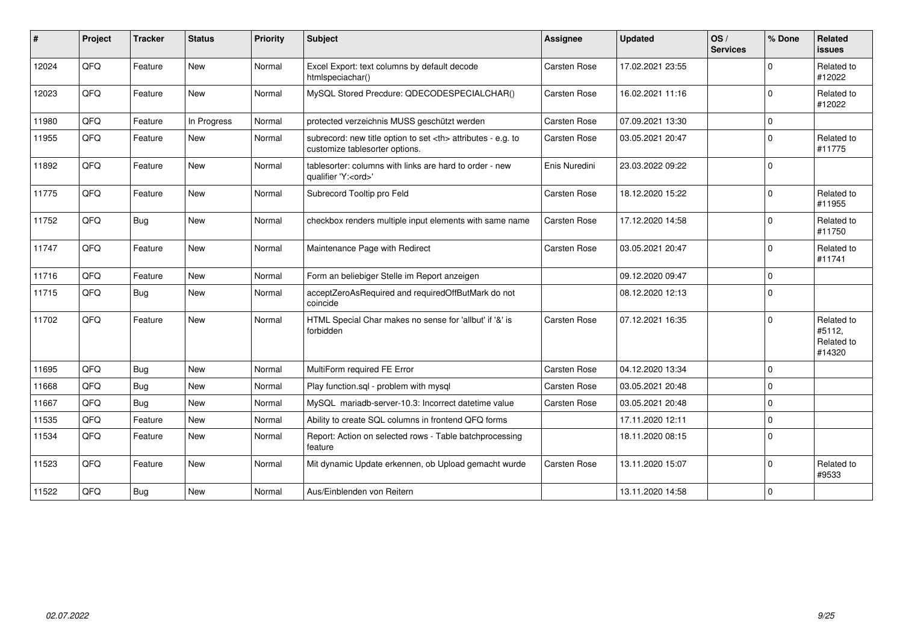| $\pmb{\#}$ | Project | <b>Tracker</b> | <b>Status</b> | <b>Priority</b> | <b>Subject</b>                                                                                       | Assignee                                               | <b>Updated</b>   | OS/<br><b>Services</b> | % Done      | <b>Related</b><br><b>issues</b>              |                      |
|------------|---------|----------------|---------------|-----------------|------------------------------------------------------------------------------------------------------|--------------------------------------------------------|------------------|------------------------|-------------|----------------------------------------------|----------------------|
| 12024      | QFQ     | Feature        | <b>New</b>    | Normal          | Excel Export: text columns by default decode<br>htmlspeciachar()                                     | Carsten Rose                                           | 17.02.2021 23:55 |                        | $\Omega$    | Related to<br>#12022                         |                      |
| 12023      | QFQ     | Feature        | <b>New</b>    | Normal          | MySQL Stored Precdure: QDECODESPECIALCHAR()                                                          | Carsten Rose                                           | 16.02.2021 11:16 |                        | $\mathbf 0$ | Related to<br>#12022                         |                      |
| 11980      | QFQ     | Feature        | In Progress   | Normal          | protected verzeichnis MUSS geschützt werden                                                          | Carsten Rose                                           | 07.09.2021 13:30 |                        | 0           |                                              |                      |
| 11955      | QFQ     | Feature        | <b>New</b>    | Normal          | subrecord: new title option to set <th> attributes - e.g. to<br/>customize tablesorter options.</th> | attributes - e.g. to<br>customize tablesorter options. | Carsten Rose     | 03.05.2021 20:47       |             | $\Omega$                                     | Related to<br>#11775 |
| 11892      | QFQ     | Feature        | <b>New</b>    | Normal          | tablesorter: columns with links are hard to order - new<br>qualifier 'Y: <ord>'</ord>                | Enis Nuredini                                          | 23.03.2022 09:22 |                        | $\mathbf 0$ |                                              |                      |
| 11775      | QFQ     | Feature        | New           | Normal          | Subrecord Tooltip pro Feld                                                                           | Carsten Rose                                           | 18.12.2020 15:22 |                        | 0           | Related to<br>#11955                         |                      |
| 11752      | QFQ     | Bug            | <b>New</b>    | Normal          | checkbox renders multiple input elements with same name                                              | Carsten Rose                                           | 17.12.2020 14:58 |                        | 0           | Related to<br>#11750                         |                      |
| 11747      | QFQ     | Feature        | New           | Normal          | Maintenance Page with Redirect                                                                       | Carsten Rose                                           | 03.05.2021 20:47 |                        | $\Omega$    | Related to<br>#11741                         |                      |
| 11716      | QFQ     | Feature        | <b>New</b>    | Normal          | Form an beliebiger Stelle im Report anzeigen                                                         |                                                        | 09.12.2020 09:47 |                        | 0           |                                              |                      |
| 11715      | QFQ     | Bug            | <b>New</b>    | Normal          | acceptZeroAsRequired and requiredOffButMark do not<br>coincide                                       |                                                        | 08.12.2020 12:13 |                        | $\mathbf 0$ |                                              |                      |
| 11702      | QFQ     | Feature        | New           | Normal          | HTML Special Char makes no sense for 'allbut' if '&' is<br>forbidden                                 | Carsten Rose                                           | 07.12.2021 16:35 |                        | $\Omega$    | Related to<br>#5112,<br>Related to<br>#14320 |                      |
| 11695      | QFQ     | Bug            | <b>New</b>    | Normal          | MultiForm required FE Error                                                                          | Carsten Rose                                           | 04.12.2020 13:34 |                        | 0           |                                              |                      |
| 11668      | QFQ     | <b>Bug</b>     | <b>New</b>    | Normal          | Play function.sql - problem with mysql                                                               | Carsten Rose                                           | 03.05.2021 20:48 |                        | $\Omega$    |                                              |                      |
| 11667      | QFQ     | Bug            | New           | Normal          | MySQL mariadb-server-10.3: Incorrect datetime value                                                  | Carsten Rose                                           | 03.05.2021 20:48 |                        | 0           |                                              |                      |
| 11535      | QFQ     | Feature        | New           | Normal          | Ability to create SQL columns in frontend QFQ forms                                                  |                                                        | 17.11.2020 12:11 |                        | 0           |                                              |                      |
| 11534      | QFQ     | Feature        | <b>New</b>    | Normal          | Report: Action on selected rows - Table batchprocessing<br>feature                                   |                                                        | 18.11.2020 08:15 |                        | $\Omega$    |                                              |                      |
| 11523      | QFQ     | Feature        | <b>New</b>    | Normal          | Mit dynamic Update erkennen, ob Upload gemacht wurde                                                 | Carsten Rose                                           | 13.11.2020 15:07 |                        | 0           | Related to<br>#9533                          |                      |
| 11522      | QFQ     | <b>Bug</b>     | New           | Normal          | Aus/Einblenden von Reitern                                                                           |                                                        | 13.11.2020 14:58 |                        | 0           |                                              |                      |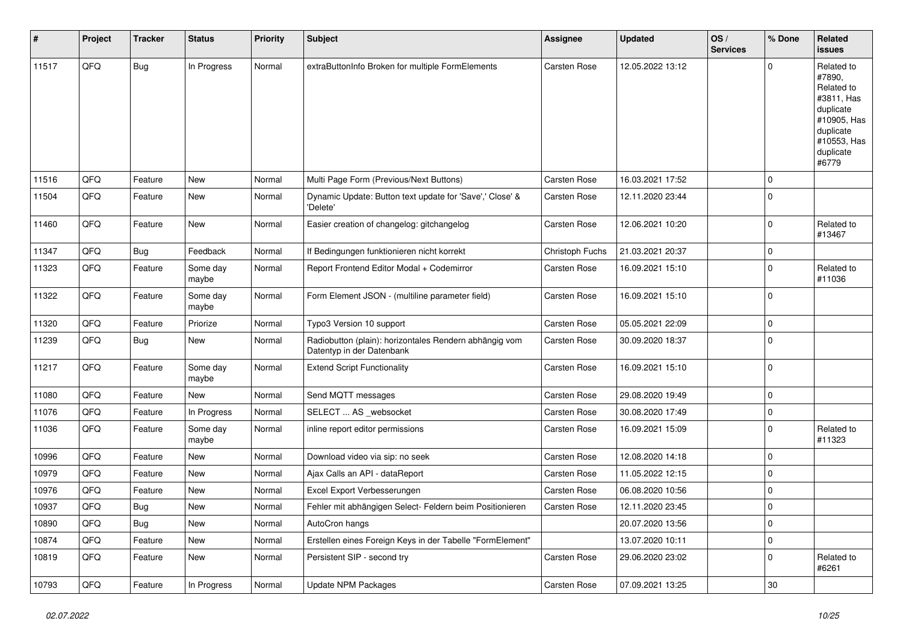| #     | Project | <b>Tracker</b> | <b>Status</b>     | <b>Priority</b> | <b>Subject</b>                                                                      | Assignee            | <b>Updated</b>   | OS/<br><b>Services</b> | % Done      | <b>Related</b><br>issues                                                                                                       |
|-------|---------|----------------|-------------------|-----------------|-------------------------------------------------------------------------------------|---------------------|------------------|------------------------|-------------|--------------------------------------------------------------------------------------------------------------------------------|
| 11517 | QFQ     | <b>Bug</b>     | In Progress       | Normal          | extraButtonInfo Broken for multiple FormElements                                    | Carsten Rose        | 12.05.2022 13:12 |                        | $\Omega$    | Related to<br>#7890,<br>Related to<br>#3811, Has<br>duplicate<br>#10905, Has<br>duplicate<br>#10553, Has<br>duplicate<br>#6779 |
| 11516 | QFQ     | Feature        | <b>New</b>        | Normal          | Multi Page Form (Previous/Next Buttons)                                             | <b>Carsten Rose</b> | 16.03.2021 17:52 |                        | $\mathbf 0$ |                                                                                                                                |
| 11504 | QFQ     | Feature        | New               | Normal          | Dynamic Update: Button text update for 'Save',' Close' &<br>'Delete'                | Carsten Rose        | 12.11.2020 23:44 |                        | $\Omega$    |                                                                                                                                |
| 11460 | QFQ     | Feature        | <b>New</b>        | Normal          | Easier creation of changelog: gitchangelog                                          | Carsten Rose        | 12.06.2021 10:20 |                        | 0           | Related to<br>#13467                                                                                                           |
| 11347 | QFQ     | Bug            | Feedback          | Normal          | If Bedingungen funktionieren nicht korrekt                                          | Christoph Fuchs     | 21.03.2021 20:37 |                        | 0           |                                                                                                                                |
| 11323 | QFQ     | Feature        | Some day<br>maybe | Normal          | Report Frontend Editor Modal + Codemirror                                           | Carsten Rose        | 16.09.2021 15:10 |                        | $\Omega$    | Related to<br>#11036                                                                                                           |
| 11322 | QFQ     | Feature        | Some day<br>maybe | Normal          | Form Element JSON - (multiline parameter field)                                     | Carsten Rose        | 16.09.2021 15:10 |                        | $\Omega$    |                                                                                                                                |
| 11320 | QFQ     | Feature        | Priorize          | Normal          | Typo3 Version 10 support                                                            | Carsten Rose        | 05.05.2021 22:09 |                        | $\Omega$    |                                                                                                                                |
| 11239 | QFQ     | <b>Bug</b>     | <b>New</b>        | Normal          | Radiobutton (plain): horizontales Rendern abhängig vom<br>Datentyp in der Datenbank | Carsten Rose        | 30.09.2020 18:37 |                        | $\Omega$    |                                                                                                                                |
| 11217 | QFQ     | Feature        | Some day<br>maybe | Normal          | <b>Extend Script Functionality</b>                                                  | <b>Carsten Rose</b> | 16.09.2021 15:10 |                        | $\mathbf 0$ |                                                                                                                                |
| 11080 | QFQ     | Feature        | <b>New</b>        | Normal          | Send MQTT messages                                                                  | <b>Carsten Rose</b> | 29.08.2020 19:49 |                        | $\mathbf 0$ |                                                                                                                                |
| 11076 | QFQ     | Feature        | In Progress       | Normal          | SELECT  AS _websocket                                                               | Carsten Rose        | 30.08.2020 17:49 |                        | 0           |                                                                                                                                |
| 11036 | QFQ     | Feature        | Some day<br>maybe | Normal          | inline report editor permissions                                                    | Carsten Rose        | 16.09.2021 15:09 |                        | $\Omega$    | Related to<br>#11323                                                                                                           |
| 10996 | QFQ     | Feature        | New               | Normal          | Download video via sip: no seek                                                     | <b>Carsten Rose</b> | 12.08.2020 14:18 |                        | $\mathbf 0$ |                                                                                                                                |
| 10979 | QFQ     | Feature        | New               | Normal          | Ajax Calls an API - dataReport                                                      | Carsten Rose        | 11.05.2022 12:15 |                        | $\Omega$    |                                                                                                                                |
| 10976 | QFQ     | Feature        | New               | Normal          | Excel Export Verbesserungen                                                         | <b>Carsten Rose</b> | 06.08.2020 10:56 |                        | 0           |                                                                                                                                |
| 10937 | QFQ     | Bug            | New               | Normal          | Fehler mit abhängigen Select- Feldern beim Positionieren                            | Carsten Rose        | 12.11.2020 23:45 |                        | $\mathbf 0$ |                                                                                                                                |
| 10890 | QFQ     | Bug            | <b>New</b>        | Normal          | AutoCron hangs                                                                      |                     | 20.07.2020 13:56 |                        | 0           |                                                                                                                                |
| 10874 | QFQ     | Feature        | New               | Normal          | Erstellen eines Foreign Keys in der Tabelle "FormElement"                           |                     | 13.07.2020 10:11 |                        | 0           |                                                                                                                                |
| 10819 | QFQ     | Feature        | New               | Normal          | Persistent SIP - second try                                                         | Carsten Rose        | 29.06.2020 23:02 |                        | $\pmb{0}$   | Related to<br>#6261                                                                                                            |
| 10793 | QFQ     | Feature        | In Progress       | Normal          | <b>Update NPM Packages</b>                                                          | Carsten Rose        | 07.09.2021 13:25 |                        | $30\,$      |                                                                                                                                |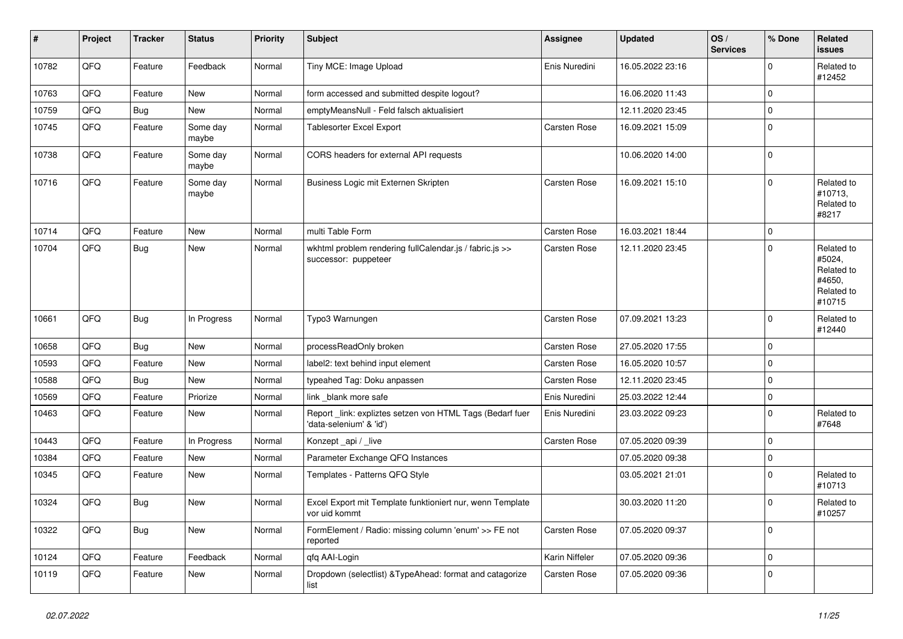| $\vert$ # | Project | <b>Tracker</b> | <b>Status</b>     | <b>Priority</b> | <b>Subject</b>                                                                       | Assignee       | <b>Updated</b>   | OS/<br><b>Services</b> | % Done      | <b>Related</b><br>issues                                             |
|-----------|---------|----------------|-------------------|-----------------|--------------------------------------------------------------------------------------|----------------|------------------|------------------------|-------------|----------------------------------------------------------------------|
| 10782     | QFQ     | Feature        | Feedback          | Normal          | Tiny MCE: Image Upload                                                               | Enis Nuredini  | 16.05.2022 23:16 |                        | $\Omega$    | Related to<br>#12452                                                 |
| 10763     | QFQ     | Feature        | <b>New</b>        | Normal          | form accessed and submitted despite logout?                                          |                | 16.06.2020 11:43 |                        | $\mathbf 0$ |                                                                      |
| 10759     | QFQ     | Bug            | New               | Normal          | emptyMeansNull - Feld falsch aktualisiert                                            |                | 12.11.2020 23:45 |                        | $\mathbf 0$ |                                                                      |
| 10745     | QFQ     | Feature        | Some day<br>maybe | Normal          | Tablesorter Excel Export                                                             | Carsten Rose   | 16.09.2021 15:09 |                        | $\mathbf 0$ |                                                                      |
| 10738     | QFQ     | Feature        | Some day<br>maybe | Normal          | CORS headers for external API requests                                               |                | 10.06.2020 14:00 |                        | $\mathbf 0$ |                                                                      |
| 10716     | QFQ     | Feature        | Some day<br>maybe | Normal          | Business Logic mit Externen Skripten                                                 | Carsten Rose   | 16.09.2021 15:10 |                        | $\mathbf 0$ | Related to<br>#10713,<br>Related to<br>#8217                         |
| 10714     | QFQ     | Feature        | New               | Normal          | multi Table Form                                                                     | Carsten Rose   | 16.03.2021 18:44 |                        | $\mathbf 0$ |                                                                      |
| 10704     | QFQ     | Bug            | New               | Normal          | wkhtml problem rendering fullCalendar.js / fabric.js >><br>successor: puppeteer      | Carsten Rose   | 12.11.2020 23:45 |                        | $\mathbf 0$ | Related to<br>#5024,<br>Related to<br>#4650,<br>Related to<br>#10715 |
| 10661     | QFQ     | Bug            | In Progress       | Normal          | Typo3 Warnungen                                                                      | Carsten Rose   | 07.09.2021 13:23 |                        | $\mathbf 0$ | Related to<br>#12440                                                 |
| 10658     | QFQ     | Bug            | New               | Normal          | processReadOnly broken                                                               | Carsten Rose   | 27.05.2020 17:55 |                        | $\Omega$    |                                                                      |
| 10593     | QFQ     | Feature        | <b>New</b>        | Normal          | label2: text behind input element                                                    | Carsten Rose   | 16.05.2020 10:57 |                        | $\mathbf 0$ |                                                                      |
| 10588     | QFQ     | Bug            | New               | Normal          | typeahed Tag: Doku anpassen                                                          | Carsten Rose   | 12.11.2020 23:45 |                        | $\mathbf 0$ |                                                                      |
| 10569     | QFQ     | Feature        | Priorize          | Normal          | link _blank more safe                                                                | Enis Nuredini  | 25.03.2022 12:44 |                        | $\mathbf 0$ |                                                                      |
| 10463     | QFQ     | Feature        | <b>New</b>        | Normal          | Report _link: expliztes setzen von HTML Tags (Bedarf fuer<br>'data-selenium' & 'id') | Enis Nuredini  | 23.03.2022 09:23 |                        | $\mathbf 0$ | Related to<br>#7648                                                  |
| 10443     | QFQ     | Feature        | In Progress       | Normal          | Konzept _api / _live                                                                 | Carsten Rose   | 07.05.2020 09:39 |                        | $\mathbf 0$ |                                                                      |
| 10384     | QFQ     | Feature        | <b>New</b>        | Normal          | Parameter Exchange QFQ Instances                                                     |                | 07.05.2020 09:38 |                        | $\pmb{0}$   |                                                                      |
| 10345     | QFQ     | Feature        | New               | Normal          | Templates - Patterns QFQ Style                                                       |                | 03.05.2021 21:01 |                        | $\mathbf 0$ | Related to<br>#10713                                                 |
| 10324     | QFQ     | Bug            | New               | Normal          | Excel Export mit Template funktioniert nur, wenn Template<br>vor uid kommt           |                | 30.03.2020 11:20 |                        | $\mathbf 0$ | Related to<br>#10257                                                 |
| 10322     | QFO     | <b>Bug</b>     | New               | Normal          | FormElement / Radio: missing column 'enum' >> FE not<br>reported                     | Carsten Rose   | 07.05.2020 09:37 |                        | 0           |                                                                      |
| 10124     | QFQ     | Feature        | Feedback          | Normal          | qfq AAI-Login                                                                        | Karin Niffeler | 07.05.2020 09:36 |                        | $\mathbf 0$ |                                                                      |
| 10119     | QFQ     | Feature        | New               | Normal          | Dropdown (selectlist) & TypeAhead: format and catagorize<br>list                     | Carsten Rose   | 07.05.2020 09:36 |                        | $\mathbf 0$ |                                                                      |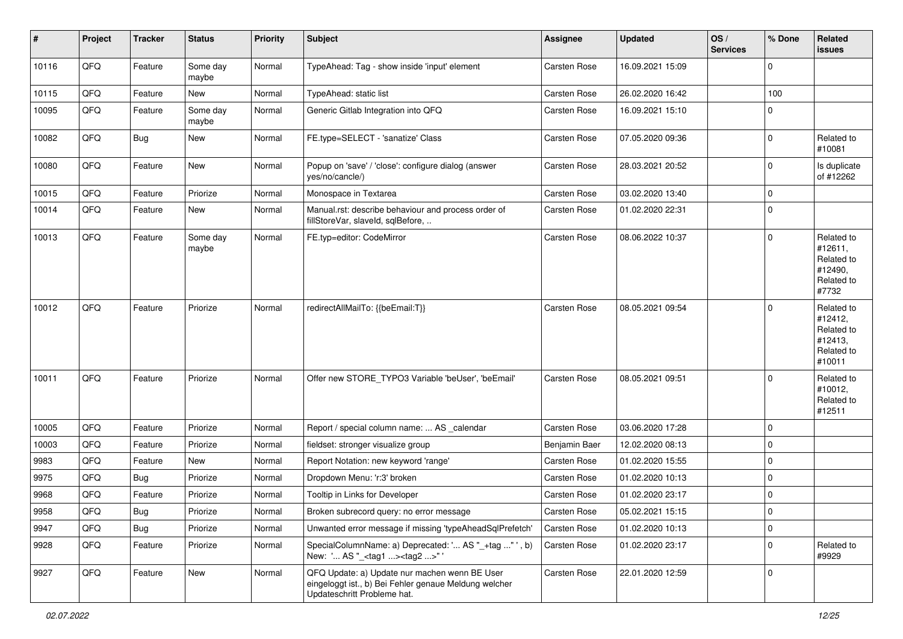| #     | Project | <b>Tracker</b> | <b>Status</b>     | <b>Priority</b> | <b>Subject</b>                                                                                                                        | <b>Assignee</b> | <b>Updated</b>   | OS/<br><b>Services</b> | % Done              | Related<br>issues                                                      |
|-------|---------|----------------|-------------------|-----------------|---------------------------------------------------------------------------------------------------------------------------------------|-----------------|------------------|------------------------|---------------------|------------------------------------------------------------------------|
| 10116 | QFQ     | Feature        | Some day<br>maybe | Normal          | TypeAhead: Tag - show inside 'input' element                                                                                          | Carsten Rose    | 16.09.2021 15:09 |                        | 0                   |                                                                        |
| 10115 | QFQ     | Feature        | New               | Normal          | TypeAhead: static list                                                                                                                | Carsten Rose    | 26.02.2020 16:42 |                        | 100                 |                                                                        |
| 10095 | QFQ     | Feature        | Some day<br>maybe | Normal          | Generic Gitlab Integration into QFQ                                                                                                   | Carsten Rose    | 16.09.2021 15:10 |                        | 0                   |                                                                        |
| 10082 | QFQ     | Bug            | New               | Normal          | FE.type=SELECT - 'sanatize' Class                                                                                                     | Carsten Rose    | 07.05.2020 09:36 |                        | $\mathbf 0$         | Related to<br>#10081                                                   |
| 10080 | QFQ     | Feature        | New               | Normal          | Popup on 'save' / 'close': configure dialog (answer<br>yes/no/cancle/)                                                                | Carsten Rose    | 28.03.2021 20:52 |                        | 0                   | Is duplicate<br>of #12262                                              |
| 10015 | QFQ     | Feature        | Priorize          | Normal          | Monospace in Textarea                                                                                                                 | Carsten Rose    | 03.02.2020 13:40 |                        | $\mathbf 0$         |                                                                        |
| 10014 | QFQ     | Feature        | New               | Normal          | Manual.rst: describe behaviour and process order of<br>fillStoreVar, slaveId, sqlBefore,                                              | Carsten Rose    | 01.02.2020 22:31 |                        | $\mathbf 0$         |                                                                        |
| 10013 | QFQ     | Feature        | Some day<br>maybe | Normal          | FE.typ=editor: CodeMirror                                                                                                             | Carsten Rose    | 08.06.2022 10:37 |                        | $\mathbf 0$         | Related to<br>#12611,<br>Related to<br>#12490,<br>Related to<br>#7732  |
| 10012 | QFQ     | Feature        | Priorize          | Normal          | redirectAllMailTo: {{beEmail:T}}                                                                                                      | Carsten Rose    | 08.05.2021 09:54 |                        | $\mathbf 0$         | Related to<br>#12412,<br>Related to<br>#12413,<br>Related to<br>#10011 |
| 10011 | QFQ     | Feature        | Priorize          | Normal          | Offer new STORE TYPO3 Variable 'beUser', 'beEmail'                                                                                    | Carsten Rose    | 08.05.2021 09:51 |                        | $\Omega$            | Related to<br>#10012,<br>Related to<br>#12511                          |
| 10005 | QFQ     | Feature        | Priorize          | Normal          | Report / special column name:  AS _calendar                                                                                           | Carsten Rose    | 03.06.2020 17:28 |                        | $\mathbf 0$         |                                                                        |
| 10003 | QFQ     | Feature        | Priorize          | Normal          | fieldset: stronger visualize group                                                                                                    | Benjamin Baer   | 12.02.2020 08:13 |                        | $\pmb{0}$           |                                                                        |
| 9983  | QFQ     | Feature        | New               | Normal          | Report Notation: new keyword 'range'                                                                                                  | Carsten Rose    | 01.02.2020 15:55 |                        | $\mathbf 0$         |                                                                        |
| 9975  | QFQ     | Bug            | Priorize          | Normal          | Dropdown Menu: 'r:3' broken                                                                                                           | Carsten Rose    | 01.02.2020 10:13 |                        | 0                   |                                                                        |
| 9968  | QFQ     | Feature        | Priorize          | Normal          | Tooltip in Links for Developer                                                                                                        | Carsten Rose    | 01.02.2020 23:17 |                        | 0                   |                                                                        |
| 9958  | QFQ     | <b>Bug</b>     | Priorize          | Normal          | Broken subrecord query: no error message                                                                                              | Carsten Rose    | 05.02.2021 15:15 |                        | $\pmb{0}$           |                                                                        |
| 9947  | QFQ     | Bug            | Priorize          | Normal          | Unwanted error message if missing 'typeAheadSqlPrefetch'                                                                              | Carsten Rose    | 01.02.2020 10:13 |                        | $\mathsf{O}\xspace$ |                                                                        |
| 9928  | QFQ     | Feature        | Priorize          | Normal          | SpecialColumnName: a) Deprecated: ' AS "_+tag " ', b)<br>New: ' AS "_ <tag1><tag2>"'</tag2></tag1>                                    | Carsten Rose    | 01.02.2020 23:17 |                        | $\pmb{0}$           | Related to<br>#9929                                                    |
| 9927  | QFQ     | Feature        | New               | Normal          | QFQ Update: a) Update nur machen wenn BE User<br>eingeloggt ist., b) Bei Fehler genaue Meldung welcher<br>Updateschritt Probleme hat. | Carsten Rose    | 22.01.2020 12:59 |                        | $\mathbf 0$         |                                                                        |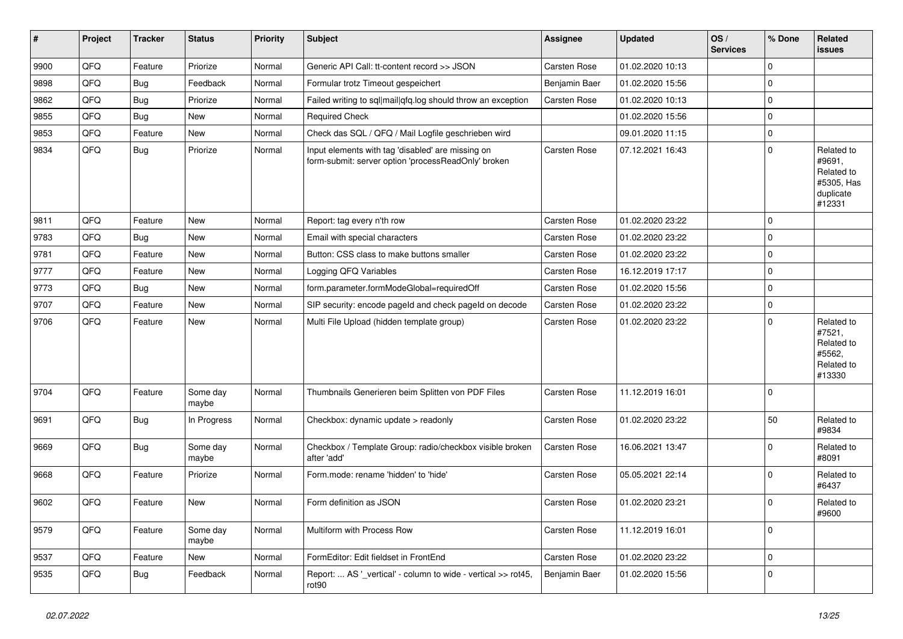| $\sharp$ | Project | <b>Tracker</b> | <b>Status</b>     | <b>Priority</b> | <b>Subject</b>                                                                                           | <b>Assignee</b> | <b>Updated</b>   | OS/<br><b>Services</b> | % Done       | Related<br><b>issues</b>                                                |
|----------|---------|----------------|-------------------|-----------------|----------------------------------------------------------------------------------------------------------|-----------------|------------------|------------------------|--------------|-------------------------------------------------------------------------|
| 9900     | QFQ     | Feature        | Priorize          | Normal          | Generic API Call: tt-content record >> JSON                                                              | Carsten Rose    | 01.02.2020 10:13 |                        | 0            |                                                                         |
| 9898     | QFQ     | <b>Bug</b>     | Feedback          | Normal          | Formular trotz Timeout gespeichert                                                                       | Benjamin Baer   | 01.02.2020 15:56 |                        | $\Omega$     |                                                                         |
| 9862     | QFQ     | <b>Bug</b>     | Priorize          | Normal          | Failed writing to sql mail qfq.log should throw an exception                                             | Carsten Rose    | 01.02.2020 10:13 |                        | $\Omega$     |                                                                         |
| 9855     | QFQ     | <b>Bug</b>     | <b>New</b>        | Normal          | <b>Required Check</b>                                                                                    |                 | 01.02.2020 15:56 |                        | $\Omega$     |                                                                         |
| 9853     | QFQ     | Feature        | <b>New</b>        | Normal          | Check das SQL / QFQ / Mail Logfile geschrieben wird                                                      |                 | 09.01.2020 11:15 |                        | $\Omega$     |                                                                         |
| 9834     | QFQ     | <b>Bug</b>     | Priorize          | Normal          | Input elements with tag 'disabled' are missing on<br>form-submit: server option 'processReadOnly' broken | Carsten Rose    | 07.12.2021 16:43 |                        | 0            | Related to<br>#9691,<br>Related to<br>#5305, Has<br>duplicate<br>#12331 |
| 9811     | QFQ     | Feature        | <b>New</b>        | Normal          | Report: tag every n'th row                                                                               | Carsten Rose    | 01.02.2020 23:22 |                        | $\Omega$     |                                                                         |
| 9783     | QFQ     | Bug            | <b>New</b>        | Normal          | Email with special characters                                                                            | Carsten Rose    | 01.02.2020 23:22 |                        | 0            |                                                                         |
| 9781     | QFQ     | Feature        | <b>New</b>        | Normal          | Button: CSS class to make buttons smaller                                                                | Carsten Rose    | 01.02.2020 23:22 |                        | $\Omega$     |                                                                         |
| 9777     | QFQ     | Feature        | New               | Normal          | Logging QFQ Variables                                                                                    | Carsten Rose    | 16.12.2019 17:17 |                        | 0            |                                                                         |
| 9773     | QFQ     | Bug            | <b>New</b>        | Normal          | form.parameter.formModeGlobal=requiredOff                                                                | Carsten Rose    | 01.02.2020 15:56 |                        | $\Omega$     |                                                                         |
| 9707     | QFQ     | Feature        | <b>New</b>        | Normal          | SIP security: encode pageld and check pageld on decode                                                   | Carsten Rose    | 01.02.2020 23:22 |                        | $\Omega$     |                                                                         |
| 9706     | QFQ     | Feature        | <b>New</b>        | Normal          | Multi File Upload (hidden template group)                                                                | Carsten Rose    | 01.02.2020 23:22 |                        | $\mathbf 0$  | Related to<br>#7521,<br>Related to<br>#5562,<br>Related to<br>#13330    |
| 9704     | QFQ     | Feature        | Some day<br>maybe | Normal          | Thumbnails Generieren beim Splitten von PDF Files                                                        | Carsten Rose    | 11.12.2019 16:01 |                        | $\mathbf 0$  |                                                                         |
| 9691     | QFQ     | <b>Bug</b>     | In Progress       | Normal          | Checkbox: dynamic update > readonly                                                                      | Carsten Rose    | 01.02.2020 23:22 |                        | 50           | Related to<br>#9834                                                     |
| 9669     | QFQ     | <b>Bug</b>     | Some day<br>maybe | Normal          | Checkbox / Template Group: radio/checkbox visible broken<br>after 'add'                                  | Carsten Rose    | 16.06.2021 13:47 |                        | 0            | Related to<br>#8091                                                     |
| 9668     | QFQ     | Feature        | Priorize          | Normal          | Form.mode: rename 'hidden' to 'hide'                                                                     | Carsten Rose    | 05.05.2021 22:14 |                        | 0            | Related to<br>#6437                                                     |
| 9602     | QFQ     | Feature        | New               | Normal          | Form definition as JSON                                                                                  | Carsten Rose    | 01.02.2020 23:21 |                        | 0            | Related to<br>#9600                                                     |
| 9579     | QFQ     | Feature        | Some day<br>maybe | Normal          | Multiform with Process Row                                                                               | Carsten Rose    | 11.12.2019 16:01 |                        | 0            |                                                                         |
| 9537     | QFQ     | Feature        | New               | Normal          | FormEditor: Edit fieldset in FrontEnd                                                                    | Carsten Rose    | 01.02.2020 23:22 |                        | $\mathbf{0}$ |                                                                         |
| 9535     | QFQ     | <b>Bug</b>     | Feedback          | Normal          | Report:  AS '_vertical' - column to wide - vertical >> rot45,<br>rot <sub>90</sub>                       | Benjamin Baer   | 01.02.2020 15:56 |                        | 0            |                                                                         |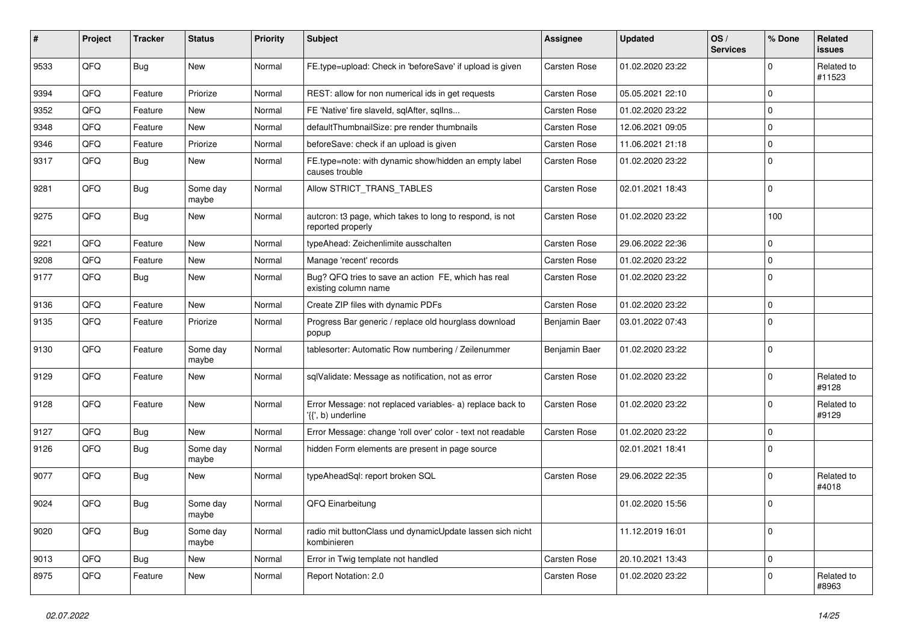| #    | Project | <b>Tracker</b> | <b>Status</b>     | <b>Priority</b> | <b>Subject</b>                                                                              | Assignee            | <b>Updated</b>   | OS/<br><b>Services</b> | % Done      | Related<br><b>issues</b> |
|------|---------|----------------|-------------------|-----------------|---------------------------------------------------------------------------------------------|---------------------|------------------|------------------------|-------------|--------------------------|
| 9533 | QFQ     | <b>Bug</b>     | <b>New</b>        | Normal          | FE.type=upload: Check in 'beforeSave' if upload is given                                    | <b>Carsten Rose</b> | 01.02.2020 23:22 |                        | $\Omega$    | Related to<br>#11523     |
| 9394 | QFQ     | Feature        | Priorize          | Normal          | REST: allow for non numerical ids in get requests                                           | <b>Carsten Rose</b> | 05.05.2021 22:10 |                        | $\Omega$    |                          |
| 9352 | QFQ     | Feature        | New               | Normal          | FE 'Native' fire slaveld, sqlAfter, sqlIns                                                  | <b>Carsten Rose</b> | 01.02.2020 23:22 |                        | $\Omega$    |                          |
| 9348 | QFQ     | Feature        | New               | Normal          | defaultThumbnailSize: pre render thumbnails                                                 | Carsten Rose        | 12.06.2021 09:05 |                        | $\Omega$    |                          |
| 9346 | QFQ     | Feature        | Priorize          | Normal          | beforeSave: check if an upload is given                                                     | <b>Carsten Rose</b> | 11.06.2021 21:18 |                        | $\Omega$    |                          |
| 9317 | QFQ     | <b>Bug</b>     | <b>New</b>        | Normal          | FE.type=note: with dynamic show/hidden an empty label<br>causes trouble                     | <b>Carsten Rose</b> | 01.02.2020 23:22 |                        | $\Omega$    |                          |
| 9281 | QFQ     | Bug            | Some day<br>maybe | Normal          | Allow STRICT_TRANS_TABLES                                                                   | <b>Carsten Rose</b> | 02.01.2021 18:43 |                        | $\Omega$    |                          |
| 9275 | QFQ     | Bug            | <b>New</b>        | Normal          | autcron: t3 page, which takes to long to respond, is not<br>reported properly               | <b>Carsten Rose</b> | 01.02.2020 23:22 |                        | 100         |                          |
| 9221 | QFQ     | Feature        | <b>New</b>        | Normal          | typeAhead: Zeichenlimite ausschalten                                                        | Carsten Rose        | 29.06.2022 22:36 |                        | $\mathbf 0$ |                          |
| 9208 | QFQ     | Feature        | New               | Normal          | Manage 'recent' records                                                                     | Carsten Rose        | 01.02.2020 23:22 |                        | $\Omega$    |                          |
| 9177 | QFQ     | Bug            | <b>New</b>        | Normal          | Bug? QFQ tries to save an action FE, which has real<br>existing column name                 | <b>Carsten Rose</b> | 01.02.2020 23:22 |                        | $\Omega$    |                          |
| 9136 | QFQ     | Feature        | <b>New</b>        | Normal          | Create ZIP files with dynamic PDFs                                                          | <b>Carsten Rose</b> | 01.02.2020 23:22 |                        | $\Omega$    |                          |
| 9135 | QFQ     | Feature        | Priorize          | Normal          | Progress Bar generic / replace old hourglass download<br>popup                              | Benjamin Baer       | 03.01.2022 07:43 |                        | $\Omega$    |                          |
| 9130 | QFQ     | Feature        | Some day<br>maybe | Normal          | tablesorter: Automatic Row numbering / Zeilenummer                                          | Benjamin Baer       | 01.02.2020 23:22 |                        | $\Omega$    |                          |
| 9129 | QFQ     | Feature        | New               | Normal          | sqlValidate: Message as notification, not as error                                          | <b>Carsten Rose</b> | 01.02.2020 23:22 |                        | $\Omega$    | Related to<br>#9128      |
| 9128 | QFQ     | Feature        | <b>New</b>        | Normal          | Error Message: not replaced variables- a) replace back to<br>$\langle \{ \}$ , b) underline | Carsten Rose        | 01.02.2020 23:22 |                        | $\Omega$    | Related to<br>#9129      |
| 9127 | QFQ     | <b>Bug</b>     | New               | Normal          | Error Message: change 'roll over' color - text not readable                                 | <b>Carsten Rose</b> | 01.02.2020 23:22 |                        | $\mathbf 0$ |                          |
| 9126 | QFQ     | Bug            | Some day<br>maybe | Normal          | hidden Form elements are present in page source                                             |                     | 02.01.2021 18:41 |                        | $\Omega$    |                          |
| 9077 | QFQ     | Bug            | <b>New</b>        | Normal          | typeAheadSql: report broken SQL                                                             | <b>Carsten Rose</b> | 29.06.2022 22:35 |                        | $\Omega$    | Related to<br>#4018      |
| 9024 | QFQ     | <b>Bug</b>     | Some day<br>maybe | Normal          | QFQ Einarbeitung                                                                            |                     | 01.02.2020 15:56 |                        | $\Omega$    |                          |
| 9020 | QFQ     | <b>Bug</b>     | Some day<br>maybe | Normal          | radio mit buttonClass und dynamicUpdate lassen sich nicht<br>kombinieren                    |                     | 11.12.2019 16:01 |                        | $\mathbf 0$ |                          |
| 9013 | QFQ     | Bug            | New               | Normal          | Error in Twig template not handled                                                          | <b>Carsten Rose</b> | 20.10.2021 13:43 |                        | $\pmb{0}$   |                          |
| 8975 | QFQ     | Feature        | New               | Normal          | Report Notation: 2.0                                                                        | Carsten Rose        | 01.02.2020 23:22 |                        | 0           | Related to<br>#8963      |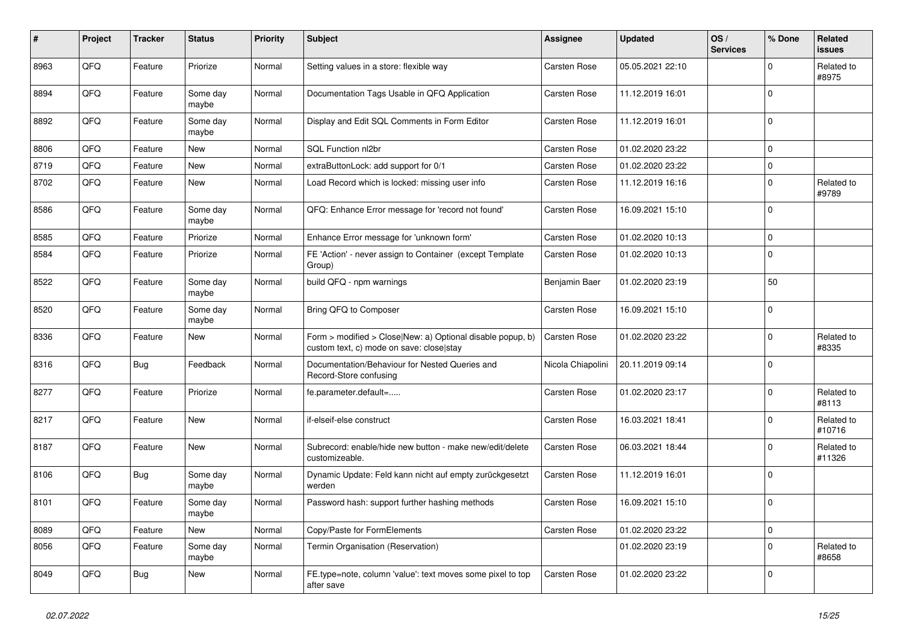| #    | Project | <b>Tracker</b> | <b>Status</b>     | <b>Priority</b> | Subject                                                                                                | <b>Assignee</b>   | <b>Updated</b>   | OS/<br><b>Services</b> | % Done      | Related<br>issues    |
|------|---------|----------------|-------------------|-----------------|--------------------------------------------------------------------------------------------------------|-------------------|------------------|------------------------|-------------|----------------------|
| 8963 | QFQ     | Feature        | Priorize          | Normal          | Setting values in a store: flexible way                                                                | Carsten Rose      | 05.05.2021 22:10 |                        | $\Omega$    | Related to<br>#8975  |
| 8894 | QFQ     | Feature        | Some day<br>maybe | Normal          | Documentation Tags Usable in QFQ Application                                                           | Carsten Rose      | 11.12.2019 16:01 |                        | $\Omega$    |                      |
| 8892 | QFQ     | Feature        | Some day<br>maybe | Normal          | Display and Edit SQL Comments in Form Editor                                                           | Carsten Rose      | 11.12.2019 16:01 |                        | $\Omega$    |                      |
| 8806 | QFQ     | Feature        | New               | Normal          | SQL Function nl2br                                                                                     | Carsten Rose      | 01.02.2020 23:22 |                        | $\Omega$    |                      |
| 8719 | QFQ     | Feature        | New               | Normal          | extraButtonLock: add support for 0/1                                                                   | Carsten Rose      | 01.02.2020 23:22 |                        | $\Omega$    |                      |
| 8702 | QFQ     | Feature        | New               | Normal          | Load Record which is locked: missing user info                                                         | Carsten Rose      | 11.12.2019 16:16 |                        | $\Omega$    | Related to<br>#9789  |
| 8586 | QFQ     | Feature        | Some day<br>maybe | Normal          | QFQ: Enhance Error message for 'record not found'                                                      | Carsten Rose      | 16.09.2021 15:10 |                        | $\Omega$    |                      |
| 8585 | QFQ     | Feature        | Priorize          | Normal          | Enhance Error message for 'unknown form'                                                               | Carsten Rose      | 01.02.2020 10:13 |                        | $\Omega$    |                      |
| 8584 | QFQ     | Feature        | Priorize          | Normal          | FE 'Action' - never assign to Container (except Template<br>Group)                                     | Carsten Rose      | 01.02.2020 10:13 |                        | $\Omega$    |                      |
| 8522 | QFQ     | Feature        | Some day<br>maybe | Normal          | build QFQ - npm warnings                                                                               | Benjamin Baer     | 01.02.2020 23:19 |                        | 50          |                      |
| 8520 | QFQ     | Feature        | Some day<br>maybe | Normal          | Bring QFQ to Composer                                                                                  | Carsten Rose      | 16.09.2021 15:10 |                        | $\mathbf 0$ |                      |
| 8336 | QFQ     | Feature        | New               | Normal          | Form > modified > Close New: a) Optional disable popup, b)<br>custom text, c) mode on save: close stay | Carsten Rose      | 01.02.2020 23:22 |                        | $\Omega$    | Related to<br>#8335  |
| 8316 | QFQ     | Bug            | Feedback          | Normal          | Documentation/Behaviour for Nested Queries and<br>Record-Store confusing                               | Nicola Chiapolini | 20.11.2019 09:14 |                        | $\Omega$    |                      |
| 8277 | QFQ     | Feature        | Priorize          | Normal          | fe.parameter.default=                                                                                  | Carsten Rose      | 01.02.2020 23:17 |                        | $\Omega$    | Related to<br>#8113  |
| 8217 | QFQ     | Feature        | <b>New</b>        | Normal          | if-elseif-else construct                                                                               | Carsten Rose      | 16.03.2021 18:41 |                        | $\Omega$    | Related to<br>#10716 |
| 8187 | QFQ     | Feature        | <b>New</b>        | Normal          | Subrecord: enable/hide new button - make new/edit/delete<br>customizeable.                             | Carsten Rose      | 06.03.2021 18:44 |                        | $\Omega$    | Related to<br>#11326 |
| 8106 | QFQ     | Bug            | Some day<br>maybe | Normal          | Dynamic Update: Feld kann nicht auf empty zurückgesetzt<br>werden                                      | Carsten Rose      | 11.12.2019 16:01 |                        | $\Omega$    |                      |
| 8101 | QFQ     | Feature        | Some day<br>maybe | Normal          | Password hash: support further hashing methods                                                         | Carsten Rose      | 16.09.2021 15:10 |                        | $\mathbf 0$ |                      |
| 8089 | QFQ     | Feature        | New               | Normal          | Copy/Paste for FormElements                                                                            | Carsten Rose      | 01.02.2020 23:22 |                        | $\pmb{0}$   |                      |
| 8056 | QFQ     | Feature        | Some day<br>maybe | Normal          | Termin Organisation (Reservation)                                                                      |                   | 01.02.2020 23:19 |                        | $\mathbf 0$ | Related to<br>#8658  |
| 8049 | QFQ     | <b>Bug</b>     | New               | Normal          | FE.type=note, column 'value': text moves some pixel to top<br>after save                               | Carsten Rose      | 01.02.2020 23:22 |                        | 0           |                      |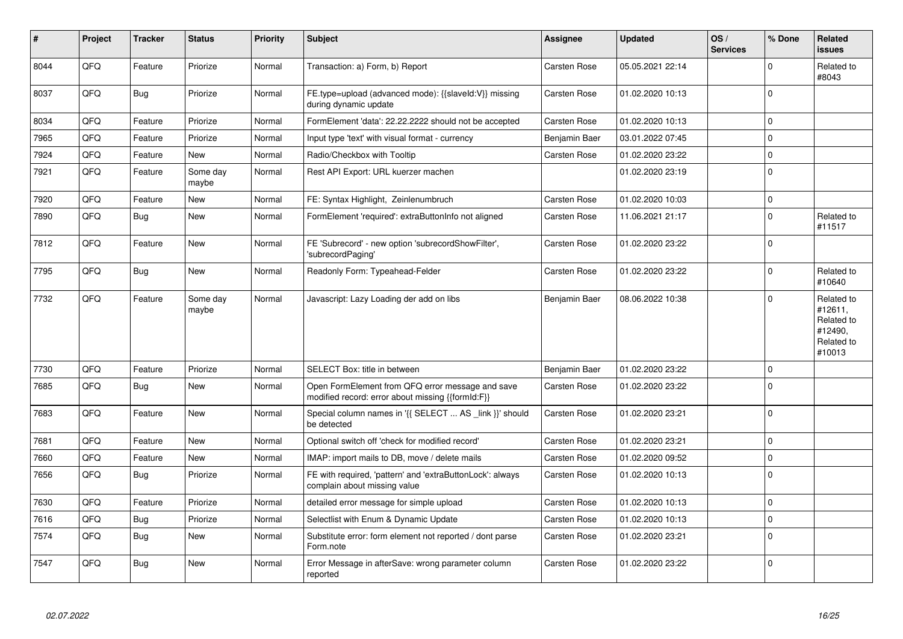| #    | Project | <b>Tracker</b> | <b>Status</b>     | <b>Priority</b> | <b>Subject</b>                                                                                        | <b>Assignee</b>     | <b>Updated</b>   | OS/<br><b>Services</b> | % Done      | Related<br><b>issues</b>                                               |
|------|---------|----------------|-------------------|-----------------|-------------------------------------------------------------------------------------------------------|---------------------|------------------|------------------------|-------------|------------------------------------------------------------------------|
| 8044 | QFQ     | Feature        | Priorize          | Normal          | Transaction: a) Form, b) Report                                                                       | Carsten Rose        | 05.05.2021 22:14 |                        | $\Omega$    | Related to<br>#8043                                                    |
| 8037 | QFQ     | <b>Bug</b>     | Priorize          | Normal          | FE.type=upload (advanced mode): {{slaveld:V}} missing<br>during dynamic update                        | Carsten Rose        | 01.02.2020 10:13 |                        | $\mathbf 0$ |                                                                        |
| 8034 | QFQ     | Feature        | Priorize          | Normal          | FormElement 'data': 22.22.2222 should not be accepted                                                 | Carsten Rose        | 01.02.2020 10:13 |                        | $\pmb{0}$   |                                                                        |
| 7965 | QFQ     | Feature        | Priorize          | Normal          | Input type 'text' with visual format - currency                                                       | Benjamin Baer       | 03.01.2022 07:45 |                        | $\mathbf 0$ |                                                                        |
| 7924 | QFQ     | Feature        | New               | Normal          | Radio/Checkbox with Tooltip                                                                           | Carsten Rose        | 01.02.2020 23:22 |                        | $\pmb{0}$   |                                                                        |
| 7921 | QFQ     | Feature        | Some dav<br>maybe | Normal          | Rest API Export: URL kuerzer machen                                                                   |                     | 01.02.2020 23:19 |                        | $\Omega$    |                                                                        |
| 7920 | QFQ     | Feature        | <b>New</b>        | Normal          | FE: Syntax Highlight, Zeinlenumbruch                                                                  | <b>Carsten Rose</b> | 01.02.2020 10:03 |                        | $\mathbf 0$ |                                                                        |
| 7890 | QFQ     | <b>Bug</b>     | New               | Normal          | FormElement 'required': extraButtonInfo not aligned                                                   | Carsten Rose        | 11.06.2021 21:17 |                        | $\Omega$    | Related to<br>#11517                                                   |
| 7812 | QFQ     | Feature        | <b>New</b>        | Normal          | FE 'Subrecord' - new option 'subrecordShowFilter',<br>'subrecordPaging'                               | Carsten Rose        | 01.02.2020 23:22 |                        | $\mathbf 0$ |                                                                        |
| 7795 | QFQ     | <b>Bug</b>     | <b>New</b>        | Normal          | Readonly Form: Typeahead-Felder                                                                       | <b>Carsten Rose</b> | 01.02.2020 23:22 |                        | $\Omega$    | Related to<br>#10640                                                   |
| 7732 | QFQ     | Feature        | Some day<br>maybe | Normal          | Javascript: Lazy Loading der add on libs                                                              | Benjamin Baer       | 08.06.2022 10:38 |                        | $\Omega$    | Related to<br>#12611,<br>Related to<br>#12490,<br>Related to<br>#10013 |
| 7730 | QFQ     | Feature        | Priorize          | Normal          | SELECT Box: title in between                                                                          | Benjamin Baer       | 01.02.2020 23:22 |                        | $\pmb{0}$   |                                                                        |
| 7685 | QFQ     | Bug            | <b>New</b>        | Normal          | Open FormElement from QFQ error message and save<br>modified record: error about missing {{formId:F}} | <b>Carsten Rose</b> | 01.02.2020 23:22 |                        | $\Omega$    |                                                                        |
| 7683 | QFQ     | Feature        | <b>New</b>        | Normal          | Special column names in '{{ SELECT  AS link }}' should<br>be detected                                 | <b>Carsten Rose</b> | 01.02.2020 23:21 |                        | $\mathbf 0$ |                                                                        |
| 7681 | QFQ     | Feature        | <b>New</b>        | Normal          | Optional switch off 'check for modified record'                                                       | <b>Carsten Rose</b> | 01.02.2020 23:21 |                        | $\mathbf 0$ |                                                                        |
| 7660 | QFQ     | Feature        | <b>New</b>        | Normal          | IMAP: import mails to DB, move / delete mails                                                         | <b>Carsten Rose</b> | 01.02.2020 09:52 |                        | $\mathbf 0$ |                                                                        |
| 7656 | QFQ     | <b>Bug</b>     | Priorize          | Normal          | FE with required, 'pattern' and 'extraButtonLock': always<br>complain about missing value             | <b>Carsten Rose</b> | 01.02.2020 10:13 |                        | $\mathbf 0$ |                                                                        |
| 7630 | QFQ     | Feature        | Priorize          | Normal          | detailed error message for simple upload                                                              | <b>Carsten Rose</b> | 01.02.2020 10:13 |                        | $\mathbf 0$ |                                                                        |
| 7616 | QFQ     | Bug            | Priorize          | Normal          | Selectlist with Enum & Dynamic Update                                                                 | Carsten Rose        | 01.02.2020 10:13 |                        | $\mathbf 0$ |                                                                        |
| 7574 | QFQ     | <b>Bug</b>     | <b>New</b>        | Normal          | Substitute error: form element not reported / dont parse<br>Form.note                                 | Carsten Rose        | 01.02.2020 23:21 |                        | $\mathbf 0$ |                                                                        |
| 7547 | QFQ     | Bug            | New               | Normal          | Error Message in afterSave: wrong parameter column<br>reported                                        | <b>Carsten Rose</b> | 01.02.2020 23:22 |                        | $\mathbf 0$ |                                                                        |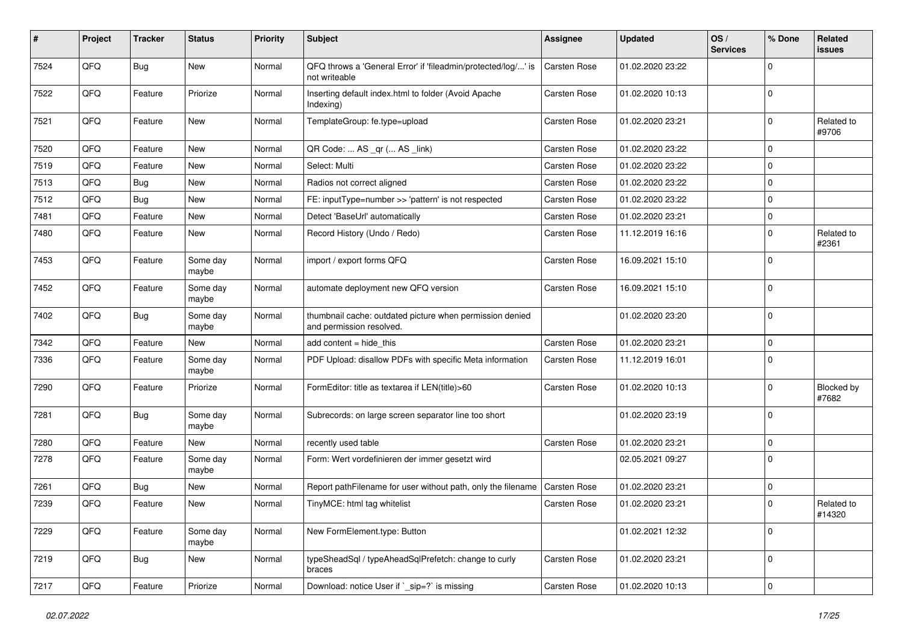| #    | Project | <b>Tracker</b> | <b>Status</b>     | <b>Priority</b> | <b>Subject</b>                                                                       | Assignee            | <b>Updated</b>   | OS/<br><b>Services</b> | % Done      | Related<br>issues    |
|------|---------|----------------|-------------------|-----------------|--------------------------------------------------------------------------------------|---------------------|------------------|------------------------|-------------|----------------------|
| 7524 | QFQ     | <b>Bug</b>     | New               | Normal          | QFQ throws a 'General Error' if 'fileadmin/protected/log/' is<br>not writeable       | Carsten Rose        | 01.02.2020 23:22 |                        | $\mathbf 0$ |                      |
| 7522 | QFQ     | Feature        | Priorize          | Normal          | Inserting default index.html to folder (Avoid Apache<br>Indexing)                    | Carsten Rose        | 01.02.2020 10:13 |                        | $\mathbf 0$ |                      |
| 7521 | QFQ     | Feature        | New               | Normal          | TemplateGroup: fe.type=upload                                                        | Carsten Rose        | 01.02.2020 23:21 |                        | $\mathbf 0$ | Related to<br>#9706  |
| 7520 | QFQ     | Feature        | New               | Normal          | QR Code:  AS _qr ( AS _link)                                                         | <b>Carsten Rose</b> | 01.02.2020 23:22 |                        | $\mathbf 0$ |                      |
| 7519 | QFQ     | Feature        | New               | Normal          | Select: Multi                                                                        | Carsten Rose        | 01.02.2020 23:22 |                        | $\mathbf 0$ |                      |
| 7513 | QFQ     | <b>Bug</b>     | <b>New</b>        | Normal          | Radios not correct aligned                                                           | <b>Carsten Rose</b> | 01.02.2020 23:22 |                        | $\mathbf 0$ |                      |
| 7512 | QFQ     | <b>Bug</b>     | New               | Normal          | FE: inputType=number >> 'pattern' is not respected                                   | Carsten Rose        | 01.02.2020 23:22 |                        | $\mathbf 0$ |                      |
| 7481 | QFQ     | Feature        | New               | Normal          | Detect 'BaseUrl' automatically                                                       | Carsten Rose        | 01.02.2020 23:21 |                        | $\mathbf 0$ |                      |
| 7480 | QFQ     | Feature        | New               | Normal          | Record History (Undo / Redo)                                                         | <b>Carsten Rose</b> | 11.12.2019 16:16 |                        | $\mathbf 0$ | Related to<br>#2361  |
| 7453 | QFQ     | Feature        | Some day<br>maybe | Normal          | import / export forms QFQ                                                            | Carsten Rose        | 16.09.2021 15:10 |                        | $\mathbf 0$ |                      |
| 7452 | QFQ     | Feature        | Some day<br>maybe | Normal          | automate deployment new QFQ version                                                  | Carsten Rose        | 16.09.2021 15:10 |                        | $\mathbf 0$ |                      |
| 7402 | QFQ     | <b>Bug</b>     | Some day<br>maybe | Normal          | thumbnail cache: outdated picture when permission denied<br>and permission resolved. |                     | 01.02.2020 23:20 |                        | $\mathbf 0$ |                      |
| 7342 | QFQ     | Feature        | <b>New</b>        | Normal          | add content $=$ hide this                                                            | <b>Carsten Rose</b> | 01.02.2020 23:21 |                        | $\mathbf 0$ |                      |
| 7336 | QFQ     | Feature        | Some day<br>maybe | Normal          | PDF Upload: disallow PDFs with specific Meta information                             | Carsten Rose        | 11.12.2019 16:01 |                        | $\mathbf 0$ |                      |
| 7290 | QFQ     | Feature        | Priorize          | Normal          | FormEditor: title as textarea if LEN(title)>60                                       | <b>Carsten Rose</b> | 01.02.2020 10:13 |                        | $\mathbf 0$ | Blocked by<br>#7682  |
| 7281 | QFQ     | <b>Bug</b>     | Some day<br>maybe | Normal          | Subrecords: on large screen separator line too short                                 |                     | 01.02.2020 23:19 |                        | $\mathbf 0$ |                      |
| 7280 | QFQ     | Feature        | New               | Normal          | recently used table                                                                  | Carsten Rose        | 01.02.2020 23:21 |                        | $\mathbf 0$ |                      |
| 7278 | QFQ     | Feature        | Some day<br>maybe | Normal          | Form: Wert vordefinieren der immer gesetzt wird                                      |                     | 02.05.2021 09:27 |                        | $\mathbf 0$ |                      |
| 7261 | QFQ     | <b>Bug</b>     | <b>New</b>        | Normal          | Report pathFilename for user without path, only the filename                         | Carsten Rose        | 01.02.2020 23:21 |                        | $\mathbf 0$ |                      |
| 7239 | QFQ     | Feature        | New               | Normal          | TinyMCE: html tag whitelist                                                          | Carsten Rose        | 01.02.2020 23:21 |                        | $\mathbf 0$ | Related to<br>#14320 |
| 7229 | QFQ     | Feature        | Some day<br>maybe | Normal          | New FormElement.type: Button                                                         |                     | 01.02.2021 12:32 |                        | $\mathbf 0$ |                      |
| 7219 | QFG     | <b>Bug</b>     | New               | Normal          | typeSheadSql / typeAheadSqlPrefetch: change to curly<br>braces                       | Carsten Rose        | 01.02.2020 23:21 |                        | $\mathbf 0$ |                      |
| 7217 | QFG     | Feature        | Priorize          | Normal          | Download: notice User if `_sip=?` is missing                                         | Carsten Rose        | 01.02.2020 10:13 |                        | $\pmb{0}$   |                      |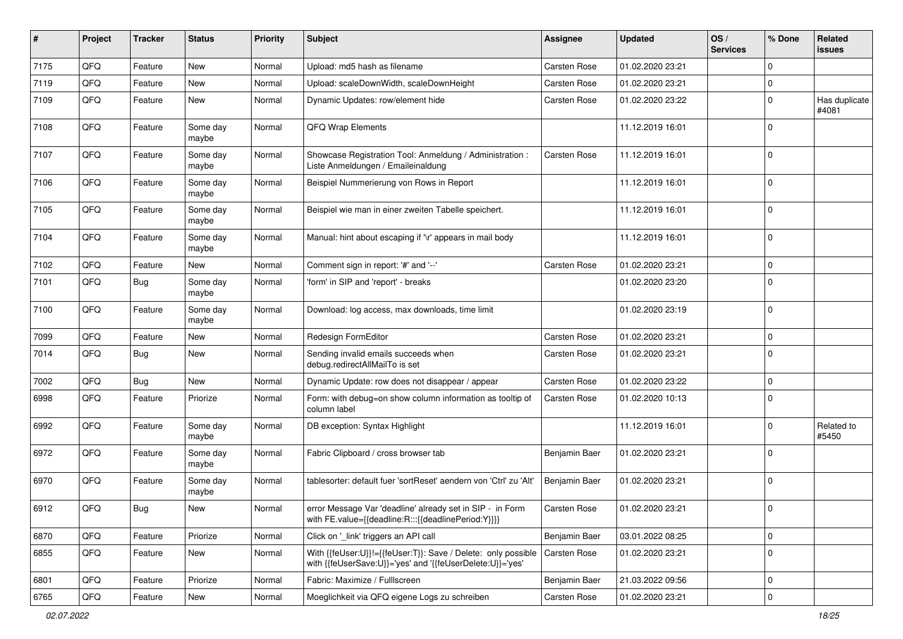| #    | Project | <b>Tracker</b> | <b>Status</b>     | <b>Priority</b> | <b>Subject</b>                                                                                                             | Assignee            | <b>Updated</b>   | OS/<br><b>Services</b> | % Done         | Related<br><b>issues</b> |
|------|---------|----------------|-------------------|-----------------|----------------------------------------------------------------------------------------------------------------------------|---------------------|------------------|------------------------|----------------|--------------------------|
| 7175 | QFQ     | Feature        | New               | Normal          | Upload: md5 hash as filename                                                                                               | Carsten Rose        | 01.02.2020 23:21 |                        | $\Omega$       |                          |
| 7119 | QFQ     | Feature        | New               | Normal          | Upload: scaleDownWidth, scaleDownHeight                                                                                    | <b>Carsten Rose</b> | 01.02.2020 23:21 |                        | $\mathbf 0$    |                          |
| 7109 | QFQ     | Feature        | New               | Normal          | Dynamic Updates: row/element hide                                                                                          | Carsten Rose        | 01.02.2020 23:22 |                        | $\mathbf 0$    | Has duplicate<br>#4081   |
| 7108 | QFQ     | Feature        | Some day<br>maybe | Normal          | QFQ Wrap Elements                                                                                                          |                     | 11.12.2019 16:01 |                        | $\mathbf 0$    |                          |
| 7107 | QFQ     | Feature        | Some day<br>maybe | Normal          | Showcase Registration Tool: Anmeldung / Administration :<br>Liste Anmeldungen / Emaileinaldung                             | <b>Carsten Rose</b> | 11.12.2019 16:01 |                        | $\mathbf 0$    |                          |
| 7106 | QFQ     | Feature        | Some day<br>maybe | Normal          | Beispiel Nummerierung von Rows in Report                                                                                   |                     | 11.12.2019 16:01 |                        | $\mathbf 0$    |                          |
| 7105 | QFQ     | Feature        | Some day<br>maybe | Normal          | Beispiel wie man in einer zweiten Tabelle speichert.                                                                       |                     | 11.12.2019 16:01 |                        | $\mathbf 0$    |                          |
| 7104 | QFQ     | Feature        | Some day<br>maybe | Normal          | Manual: hint about escaping if '\r' appears in mail body                                                                   |                     | 11.12.2019 16:01 |                        | $\mathbf 0$    |                          |
| 7102 | QFQ     | Feature        | <b>New</b>        | Normal          | Comment sign in report: '#' and '--'                                                                                       | <b>Carsten Rose</b> | 01.02.2020 23:21 |                        | $\mathbf 0$    |                          |
| 7101 | QFQ     | <b>Bug</b>     | Some day<br>maybe | Normal          | 'form' in SIP and 'report' - breaks                                                                                        |                     | 01.02.2020 23:20 |                        | $\Omega$       |                          |
| 7100 | QFQ     | Feature        | Some day<br>maybe | Normal          | Download: log access, max downloads, time limit                                                                            |                     | 01.02.2020 23:19 |                        | $\mathbf 0$    |                          |
| 7099 | QFQ     | Feature        | <b>New</b>        | Normal          | Redesign FormEditor                                                                                                        | <b>Carsten Rose</b> | 01.02.2020 23:21 |                        | $\mathbf 0$    |                          |
| 7014 | QFQ     | Bug            | <b>New</b>        | Normal          | Sending invalid emails succeeds when<br>debug.redirectAllMailTo is set                                                     | <b>Carsten Rose</b> | 01.02.2020 23:21 |                        | $\mathbf 0$    |                          |
| 7002 | QFQ     | <b>Bug</b>     | New               | Normal          | Dynamic Update: row does not disappear / appear                                                                            | Carsten Rose        | 01.02.2020 23:22 |                        | $\mathbf 0$    |                          |
| 6998 | QFQ     | Feature        | Priorize          | Normal          | Form: with debug=on show column information as tooltip of<br>column label                                                  | <b>Carsten Rose</b> | 01.02.2020 10:13 |                        | $\mathbf 0$    |                          |
| 6992 | QFQ     | Feature        | Some day<br>maybe | Normal          | DB exception: Syntax Highlight                                                                                             |                     | 11.12.2019 16:01 |                        | $\mathbf 0$    | Related to<br>#5450      |
| 6972 | QFQ     | Feature        | Some day<br>maybe | Normal          | Fabric Clipboard / cross browser tab                                                                                       | Benjamin Baer       | 01.02.2020 23:21 |                        | $\mathbf 0$    |                          |
| 6970 | QFQ     | Feature        | Some day<br>maybe | Normal          | tablesorter: default fuer 'sortReset' aendern von 'Ctrl' zu 'Alt'                                                          | Benjamin Baer       | 01.02.2020 23:21 |                        | $\Omega$       |                          |
| 6912 | QFQ     | Bug            | New               | Normal          | error Message Var 'deadline' already set in SIP - in Form<br>with FE.value={{deadline:R:::{{deadlinePeriod:Y}}}}           | Carsten Rose        | 01.02.2020 23:21 |                        | $\overline{0}$ |                          |
| 6870 | QFQ     | Feature        | Priorize          | Normal          | Click on '_link' triggers an API call                                                                                      | Benjamin Baer       | 03.01.2022 08:25 |                        | $\mathbf 0$    |                          |
| 6855 | QFQ     | Feature        | New               | Normal          | With {{feUser:U}}!={{feUser:T}}: Save / Delete: only possible<br>with {{feUserSave:U}}='yes' and '{{feUserDelete:U}}='yes' | <b>Carsten Rose</b> | 01.02.2020 23:21 |                        | 0              |                          |
| 6801 | QFQ     | Feature        | Priorize          | Normal          | Fabric: Maximize / FullIscreen                                                                                             | Benjamin Baer       | 21.03.2022 09:56 |                        | $\mathbf 0$    |                          |
| 6765 | QFG     | Feature        | New               | Normal          | Moeglichkeit via QFQ eigene Logs zu schreiben                                                                              | Carsten Rose        | 01.02.2020 23:21 |                        | $\pmb{0}$      |                          |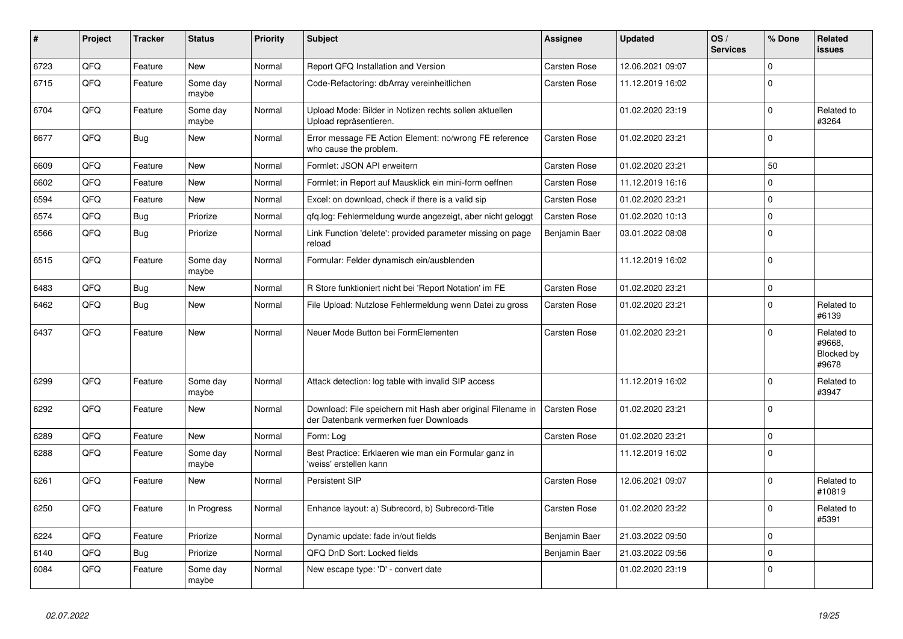| #    | Project | <b>Tracker</b> | <b>Status</b>     | <b>Priority</b> | Subject                                                                                               | Assignee            | <b>Updated</b>   | OS/<br><b>Services</b> | % Done      | Related<br>issues                           |
|------|---------|----------------|-------------------|-----------------|-------------------------------------------------------------------------------------------------------|---------------------|------------------|------------------------|-------------|---------------------------------------------|
| 6723 | QFQ     | Feature        | <b>New</b>        | Normal          | Report QFQ Installation and Version                                                                   | Carsten Rose        | 12.06.2021 09:07 |                        | $\mathbf 0$ |                                             |
| 6715 | QFQ     | Feature        | Some day<br>maybe | Normal          | Code-Refactoring: dbArray vereinheitlichen                                                            | Carsten Rose        | 11.12.2019 16:02 |                        | $\mathbf 0$ |                                             |
| 6704 | QFQ     | Feature        | Some day<br>maybe | Normal          | Upload Mode: Bilder in Notizen rechts sollen aktuellen<br>Upload repräsentieren.                      |                     | 01.02.2020 23:19 |                        | $\pmb{0}$   | Related to<br>#3264                         |
| 6677 | QFQ     | Bug            | New               | Normal          | Error message FE Action Element: no/wrong FE reference<br>who cause the problem.                      | Carsten Rose        | 01.02.2020 23:21 |                        | $\mathbf 0$ |                                             |
| 6609 | QFQ     | Feature        | New               | Normal          | Formlet: JSON API erweitern                                                                           | Carsten Rose        | 01.02.2020 23:21 |                        | 50          |                                             |
| 6602 | QFQ     | Feature        | <b>New</b>        | Normal          | Formlet: in Report auf Mausklick ein mini-form oeffnen                                                | <b>Carsten Rose</b> | 11.12.2019 16:16 |                        | $\mathbf 0$ |                                             |
| 6594 | QFQ     | Feature        | <b>New</b>        | Normal          | Excel: on download, check if there is a valid sip                                                     | <b>Carsten Rose</b> | 01.02.2020 23:21 |                        | $\mathbf 0$ |                                             |
| 6574 | QFQ     | Bug            | Priorize          | Normal          | qfq.log: Fehlermeldung wurde angezeigt, aber nicht geloggt                                            | Carsten Rose        | 01.02.2020 10:13 |                        | $\pmb{0}$   |                                             |
| 6566 | QFQ     | <b>Bug</b>     | Priorize          | Normal          | Link Function 'delete': provided parameter missing on page<br>reload                                  | Benjamin Baer       | 03.01.2022 08:08 |                        | $\pmb{0}$   |                                             |
| 6515 | QFQ     | Feature        | Some day<br>maybe | Normal          | Formular: Felder dynamisch ein/ausblenden                                                             |                     | 11.12.2019 16:02 |                        | $\mathbf 0$ |                                             |
| 6483 | QFQ     | Bug            | <b>New</b>        | Normal          | R Store funktioniert nicht bei 'Report Notation' im FE                                                | Carsten Rose        | 01.02.2020 23:21 |                        | 0           |                                             |
| 6462 | QFQ     | <b>Bug</b>     | <b>New</b>        | Normal          | File Upload: Nutzlose Fehlermeldung wenn Datei zu gross                                               | Carsten Rose        | 01.02.2020 23:21 |                        | $\mathbf 0$ | Related to<br>#6139                         |
| 6437 | QFQ     | Feature        | New               | Normal          | Neuer Mode Button bei FormElementen                                                                   | Carsten Rose        | 01.02.2020 23:21 |                        | $\Omega$    | Related to<br>#9668.<br>Blocked by<br>#9678 |
| 6299 | QFQ     | Feature        | Some day<br>maybe | Normal          | Attack detection: log table with invalid SIP access                                                   |                     | 11.12.2019 16:02 |                        | $\Omega$    | Related to<br>#3947                         |
| 6292 | QFQ     | Feature        | New               | Normal          | Download: File speichern mit Hash aber original Filename in<br>der Datenbank vermerken fuer Downloads | Carsten Rose        | 01.02.2020 23:21 |                        | $\mathbf 0$ |                                             |
| 6289 | QFQ     | Feature        | <b>New</b>        | Normal          | Form: Log                                                                                             | Carsten Rose        | 01.02.2020 23:21 |                        | $\mathbf 0$ |                                             |
| 6288 | QFQ     | Feature        | Some day<br>maybe | Normal          | Best Practice: Erklaeren wie man ein Formular ganz in<br>'weiss' erstellen kann                       |                     | 11.12.2019 16:02 |                        | $\mathbf 0$ |                                             |
| 6261 | QFQ     | Feature        | <b>New</b>        | Normal          | <b>Persistent SIP</b>                                                                                 | Carsten Rose        | 12.06.2021 09:07 |                        | $\pmb{0}$   | Related to<br>#10819                        |
| 6250 | QFQ     | Feature        | In Progress       | Normal          | Enhance layout: a) Subrecord, b) Subrecord-Title                                                      | Carsten Rose        | 01.02.2020 23:22 |                        | 0           | Related to<br>#5391                         |
| 6224 | QFQ     | Feature        | Priorize          | Normal          | Dynamic update: fade in/out fields                                                                    | Benjamin Baer       | 21.03.2022 09:50 |                        | $\mathbf 0$ |                                             |
| 6140 | QFQ     | Bug            | Priorize          | Normal          | QFQ DnD Sort: Locked fields                                                                           | Benjamin Baer       | 21.03.2022 09:56 |                        | 0           |                                             |
| 6084 | QFQ     | Feature        | Some day<br>maybe | Normal          | New escape type: 'D' - convert date                                                                   |                     | 01.02.2020 23:19 |                        | $\mathbf 0$ |                                             |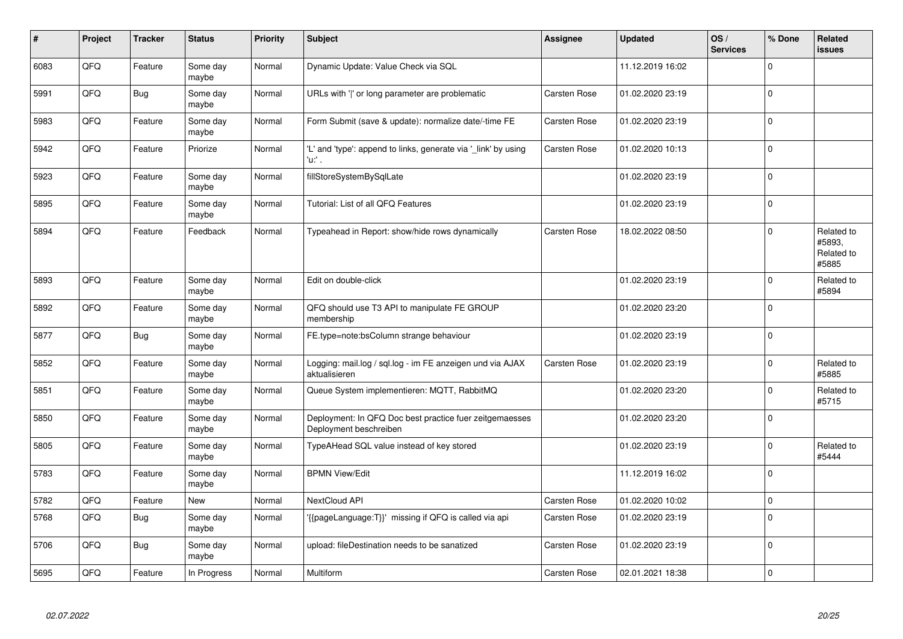| #    | Project | <b>Tracker</b> | <b>Status</b>     | <b>Priority</b> | <b>Subject</b>                                                                    | <b>Assignee</b>     | <b>Updated</b>   | OS/<br><b>Services</b> | % Done      | Related<br><b>issues</b>                    |
|------|---------|----------------|-------------------|-----------------|-----------------------------------------------------------------------------------|---------------------|------------------|------------------------|-------------|---------------------------------------------|
| 6083 | QFQ     | Feature        | Some day<br>maybe | Normal          | Dynamic Update: Value Check via SQL                                               |                     | 11.12.2019 16:02 |                        | $\Omega$    |                                             |
| 5991 | QFQ     | <b>Bug</b>     | Some day<br>maybe | Normal          | URLs with 'I' or long parameter are problematic                                   | <b>Carsten Rose</b> | 01.02.2020 23:19 |                        | $\mathbf 0$ |                                             |
| 5983 | QFQ     | Feature        | Some day<br>maybe | Normal          | Form Submit (save & update): normalize date/-time FE                              | Carsten Rose        | 01.02.2020 23:19 |                        | $\mathbf 0$ |                                             |
| 5942 | QFQ     | Feature        | Priorize          | Normal          | 'L' and 'type': append to links, generate via 'link' by using<br>'u:' .           | Carsten Rose        | 01.02.2020 10:13 |                        | $\Omega$    |                                             |
| 5923 | QFQ     | Feature        | Some day<br>maybe | Normal          | fillStoreSystemBySqlLate                                                          |                     | 01.02.2020 23:19 |                        | $\mathbf 0$ |                                             |
| 5895 | QFQ     | Feature        | Some day<br>maybe | Normal          | Tutorial: List of all QFQ Features                                                |                     | 01.02.2020 23:19 |                        | $\mathbf 0$ |                                             |
| 5894 | QFQ     | Feature        | Feedback          | Normal          | Typeahead in Report: show/hide rows dynamically                                   | <b>Carsten Rose</b> | 18.02.2022 08:50 |                        | $\Omega$    | Related to<br>#5893,<br>Related to<br>#5885 |
| 5893 | QFQ     | Feature        | Some day<br>maybe | Normal          | Edit on double-click                                                              |                     | 01.02.2020 23:19 |                        | $\Omega$    | Related to<br>#5894                         |
| 5892 | QFQ     | Feature        | Some day<br>maybe | Normal          | QFQ should use T3 API to manipulate FE GROUP<br>membership                        |                     | 01.02.2020 23:20 |                        | $\mathbf 0$ |                                             |
| 5877 | QFQ     | <b>Bug</b>     | Some day<br>maybe | Normal          | FE.type=note:bsColumn strange behaviour                                           |                     | 01.02.2020 23:19 |                        | $\pmb{0}$   |                                             |
| 5852 | QFQ     | Feature        | Some day<br>maybe | Normal          | Logging: mail.log / sql.log - im FE anzeigen und via AJAX<br>aktualisieren        | Carsten Rose        | 01.02.2020 23:19 |                        | $\mathbf 0$ | Related to<br>#5885                         |
| 5851 | QFQ     | Feature        | Some day<br>maybe | Normal          | Queue System implementieren: MQTT, RabbitMQ                                       |                     | 01.02.2020 23:20 |                        | $\mathbf 0$ | Related to<br>#5715                         |
| 5850 | QFQ     | Feature        | Some day<br>maybe | Normal          | Deployment: In QFQ Doc best practice fuer zeitgemaesses<br>Deployment beschreiben |                     | 01.02.2020 23:20 |                        | $\Omega$    |                                             |
| 5805 | QFQ     | Feature        | Some day<br>maybe | Normal          | TypeAHead SQL value instead of key stored                                         |                     | 01.02.2020 23:19 |                        | $\mathbf 0$ | Related to<br>#5444                         |
| 5783 | QFQ     | Feature        | Some day<br>maybe | Normal          | <b>BPMN View/Edit</b>                                                             |                     | 11.12.2019 16:02 |                        | $\mathbf 0$ |                                             |
| 5782 | QFQ     | Feature        | New               | Normal          | NextCloud API                                                                     | Carsten Rose        | 01.02.2020 10:02 |                        | $\mathbf 0$ |                                             |
| 5768 | QFQ     | <b>Bug</b>     | Some day<br>maybe | Normal          | '{{pageLanguage:T}}' missing if QFQ is called via api                             | Carsten Rose        | 01.02.2020 23:19 |                        | $\mathbf 0$ |                                             |
| 5706 | QFQ     | <b>Bug</b>     | Some day<br>maybe | Normal          | upload: fileDestination needs to be sanatized                                     | <b>Carsten Rose</b> | 01.02.2020 23:19 |                        | $\mathbf 0$ |                                             |
| 5695 | QFQ     | Feature        | In Progress       | Normal          | Multiform                                                                         | <b>Carsten Rose</b> | 02.01.2021 18:38 |                        | $\mathbf 0$ |                                             |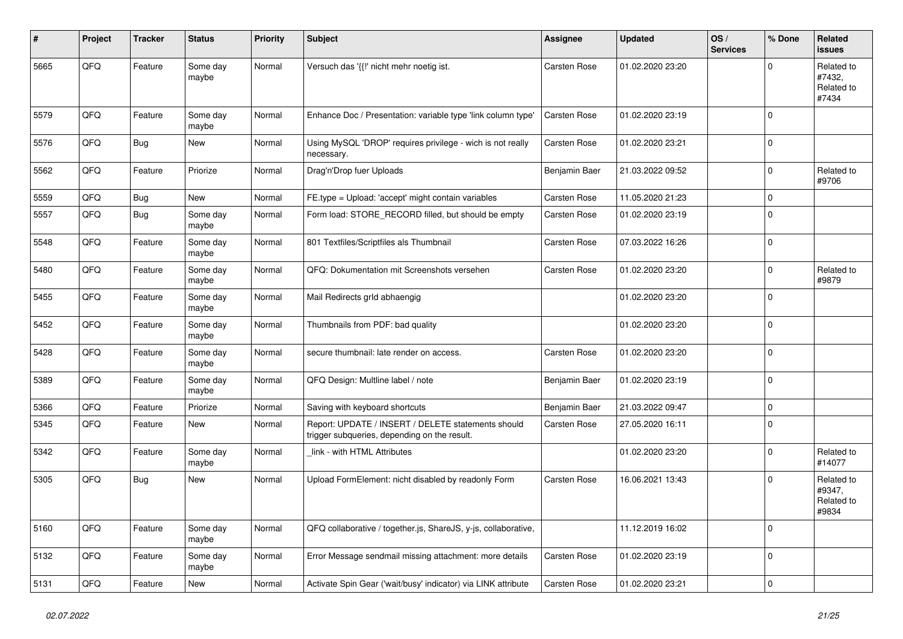| #    | Project | <b>Tracker</b> | <b>Status</b>     | <b>Priority</b> | <b>Subject</b>                                                                                     | <b>Assignee</b>     | <b>Updated</b>   | OS/<br><b>Services</b> | % Done      | Related<br><b>issues</b>                    |
|------|---------|----------------|-------------------|-----------------|----------------------------------------------------------------------------------------------------|---------------------|------------------|------------------------|-------------|---------------------------------------------|
| 5665 | QFQ     | Feature        | Some day<br>maybe | Normal          | Versuch das '{{!' nicht mehr noetig ist.                                                           | Carsten Rose        | 01.02.2020 23:20 |                        | $\Omega$    | Related to<br>#7432,<br>Related to<br>#7434 |
| 5579 | QFQ     | Feature        | Some day<br>maybe | Normal          | Enhance Doc / Presentation: variable type 'link column type'                                       | <b>Carsten Rose</b> | 01.02.2020 23:19 |                        | $\Omega$    |                                             |
| 5576 | QFQ     | Bug            | New               | Normal          | Using MySQL 'DROP' requires privilege - wich is not really<br>necessary.                           | Carsten Rose        | 01.02.2020 23:21 |                        | $\mathbf 0$ |                                             |
| 5562 | QFQ     | Feature        | Priorize          | Normal          | Drag'n'Drop fuer Uploads                                                                           | Benjamin Baer       | 21.03.2022 09:52 |                        | $\Omega$    | Related to<br>#9706                         |
| 5559 | QFQ     | <b>Bug</b>     | <b>New</b>        | Normal          | FE.type = Upload: 'accept' might contain variables                                                 | <b>Carsten Rose</b> | 11.05.2020 21:23 |                        | $\mathbf 0$ |                                             |
| 5557 | QFQ     | <b>Bug</b>     | Some day<br>maybe | Normal          | Form load: STORE RECORD filled, but should be empty                                                | <b>Carsten Rose</b> | 01.02.2020 23:19 |                        | $\Omega$    |                                             |
| 5548 | QFQ     | Feature        | Some day<br>maybe | Normal          | 801 Textfiles/Scriptfiles als Thumbnail                                                            | Carsten Rose        | 07.03.2022 16:26 |                        | $\Omega$    |                                             |
| 5480 | QFQ     | Feature        | Some day<br>maybe | Normal          | QFQ: Dokumentation mit Screenshots versehen                                                        | Carsten Rose        | 01.02.2020 23:20 |                        | $\Omega$    | Related to<br>#9879                         |
| 5455 | QFQ     | Feature        | Some day<br>maybe | Normal          | Mail Redirects grld abhaengig                                                                      |                     | 01.02.2020 23:20 |                        | $\Omega$    |                                             |
| 5452 | QFQ     | Feature        | Some day<br>maybe | Normal          | Thumbnails from PDF: bad quality                                                                   |                     | 01.02.2020 23:20 |                        | $\Omega$    |                                             |
| 5428 | QFQ     | Feature        | Some day<br>maybe | Normal          | secure thumbnail: late render on access.                                                           | Carsten Rose        | 01.02.2020 23:20 |                        | $\Omega$    |                                             |
| 5389 | QFQ     | Feature        | Some day<br>maybe | Normal          | QFQ Design: Multline label / note                                                                  | Benjamin Baer       | 01.02.2020 23:19 |                        | $\Omega$    |                                             |
| 5366 | QFQ     | Feature        | Priorize          | Normal          | Saving with keyboard shortcuts                                                                     | Benjamin Baer       | 21.03.2022 09:47 |                        | $\Omega$    |                                             |
| 5345 | QFQ     | Feature        | <b>New</b>        | Normal          | Report: UPDATE / INSERT / DELETE statements should<br>trigger subqueries, depending on the result. | Carsten Rose        | 27.05.2020 16:11 |                        | $\Omega$    |                                             |
| 5342 | QFQ     | Feature        | Some day<br>maybe | Normal          | link - with HTML Attributes                                                                        |                     | 01.02.2020 23:20 |                        | $\Omega$    | Related to<br>#14077                        |
| 5305 | QFQ     | <b>Bug</b>     | New               | Normal          | Upload FormElement: nicht disabled by readonly Form                                                | Carsten Rose        | 16.06.2021 13:43 |                        | $\Omega$    | Related to<br>#9347,<br>Related to<br>#9834 |
| 5160 | QFQ     | Feature        | Some day<br>maybe | Normal          | QFQ collaborative / together.js, ShareJS, y-js, collaborative,                                     |                     | 11.12.2019 16:02 |                        | $\Omega$    |                                             |
| 5132 | QFQ     | Feature        | Some day<br>maybe | Normal          | Error Message sendmail missing attachment: more details                                            | Carsten Rose        | 01.02.2020 23:19 |                        | $\mathbf 0$ |                                             |
| 5131 | QFQ     | Feature        | New               | Normal          | Activate Spin Gear ('wait/busy' indicator) via LINK attribute                                      | <b>Carsten Rose</b> | 01.02.2020 23:21 |                        | $\Omega$    |                                             |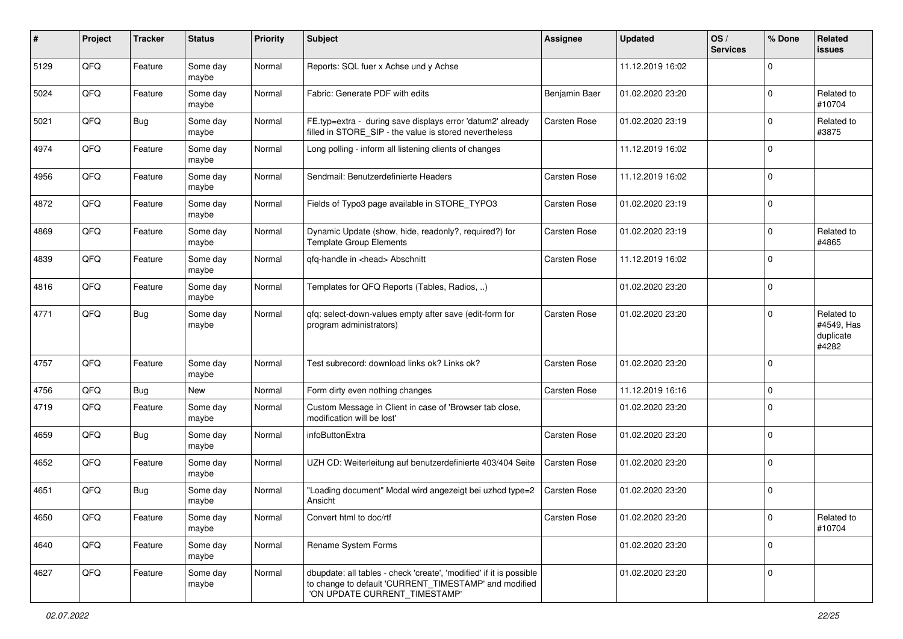| #    | Project | <b>Tracker</b> | <b>Status</b>     | <b>Priority</b> | <b>Subject</b>                                                                                                                                                | <b>Assignee</b> | <b>Updated</b>   | OS/<br><b>Services</b> | % Done      | Related<br>issues                              |
|------|---------|----------------|-------------------|-----------------|---------------------------------------------------------------------------------------------------------------------------------------------------------------|-----------------|------------------|------------------------|-------------|------------------------------------------------|
| 5129 | QFQ     | Feature        | Some day<br>maybe | Normal          | Reports: SQL fuer x Achse und y Achse                                                                                                                         |                 | 11.12.2019 16:02 |                        | $\Omega$    |                                                |
| 5024 | QFQ     | Feature        | Some day<br>maybe | Normal          | Fabric: Generate PDF with edits                                                                                                                               | Benjamin Baer   | 01.02.2020 23:20 |                        | $\Omega$    | Related to<br>#10704                           |
| 5021 | QFQ     | <b>Bug</b>     | Some day<br>maybe | Normal          | FE.typ=extra - during save displays error 'datum2' already<br>filled in STORE_SIP - the value is stored nevertheless                                          | Carsten Rose    | 01.02.2020 23:19 |                        | $\Omega$    | Related to<br>#3875                            |
| 4974 | QFQ     | Feature        | Some day<br>maybe | Normal          | Long polling - inform all listening clients of changes                                                                                                        |                 | 11.12.2019 16:02 |                        | $\Omega$    |                                                |
| 4956 | QFQ     | Feature        | Some day<br>maybe | Normal          | Sendmail: Benutzerdefinierte Headers                                                                                                                          | Carsten Rose    | 11.12.2019 16:02 |                        | $\Omega$    |                                                |
| 4872 | QFQ     | Feature        | Some day<br>maybe | Normal          | Fields of Typo3 page available in STORE_TYPO3                                                                                                                 | Carsten Rose    | 01.02.2020 23:19 |                        | $\Omega$    |                                                |
| 4869 | QFQ     | Feature        | Some day<br>maybe | Normal          | Dynamic Update (show, hide, readonly?, required?) for<br><b>Template Group Elements</b>                                                                       | Carsten Rose    | 01.02.2020 23:19 |                        | $\Omega$    | Related to<br>#4865                            |
| 4839 | QFQ     | Feature        | Some day<br>maybe | Normal          | qfq-handle in <head> Abschnitt</head>                                                                                                                         | Carsten Rose    | 11.12.2019 16:02 |                        | $\Omega$    |                                                |
| 4816 | QFQ     | Feature        | Some day<br>maybe | Normal          | Templates for QFQ Reports (Tables, Radios, )                                                                                                                  |                 | 01.02.2020 23:20 |                        | $\mathbf 0$ |                                                |
| 4771 | QFQ     | Bug            | Some day<br>maybe | Normal          | qfq: select-down-values empty after save (edit-form for<br>program administrators)                                                                            | Carsten Rose    | 01.02.2020 23:20 |                        | $\Omega$    | Related to<br>#4549, Has<br>duplicate<br>#4282 |
| 4757 | QFQ     | Feature        | Some day<br>maybe | Normal          | Test subrecord: download links ok? Links ok?                                                                                                                  | Carsten Rose    | 01.02.2020 23:20 |                        | $\Omega$    |                                                |
| 4756 | QFQ     | <b>Bug</b>     | New               | Normal          | Form dirty even nothing changes                                                                                                                               | Carsten Rose    | 11.12.2019 16:16 |                        | $\Omega$    |                                                |
| 4719 | QFQ     | Feature        | Some day<br>maybe | Normal          | Custom Message in Client in case of 'Browser tab close,<br>modification will be lost'                                                                         |                 | 01.02.2020 23:20 |                        | $\Omega$    |                                                |
| 4659 | QFQ     | Bug            | Some day<br>maybe | Normal          | infoButtonExtra                                                                                                                                               | Carsten Rose    | 01.02.2020 23:20 |                        | $\Omega$    |                                                |
| 4652 | QFQ     | Feature        | Some day<br>maybe | Normal          | UZH CD: Weiterleitung auf benutzerdefinierte 403/404 Seite                                                                                                    | Carsten Rose    | 01.02.2020 23:20 |                        | $\Omega$    |                                                |
| 4651 | QFQ     | Bug            | Some day<br>maybe | Normal          | "Loading document" Modal wird angezeigt bei uzhcd type=2<br>Ansicht                                                                                           | Carsten Rose    | 01.02.2020 23:20 |                        | $\mathbf 0$ |                                                |
| 4650 | QFQ     | Feature        | Some day<br>maybe | Normal          | Convert html to doc/rtf                                                                                                                                       | Carsten Rose    | 01.02.2020 23:20 |                        | $\mathbf 0$ | Related to<br>#10704                           |
| 4640 | QFQ     | Feature        | Some day<br>maybe | Normal          | Rename System Forms                                                                                                                                           |                 | 01.02.2020 23:20 |                        | $\mathbf 0$ |                                                |
| 4627 | QFQ     | Feature        | Some day<br>maybe | Normal          | dbupdate: all tables - check 'create', 'modified' if it is possible<br>to change to default 'CURRENT TIMESTAMP' and modified<br>'ON UPDATE CURRENT_TIMESTAMP' |                 | 01.02.2020 23:20 |                        | $\mathbf 0$ |                                                |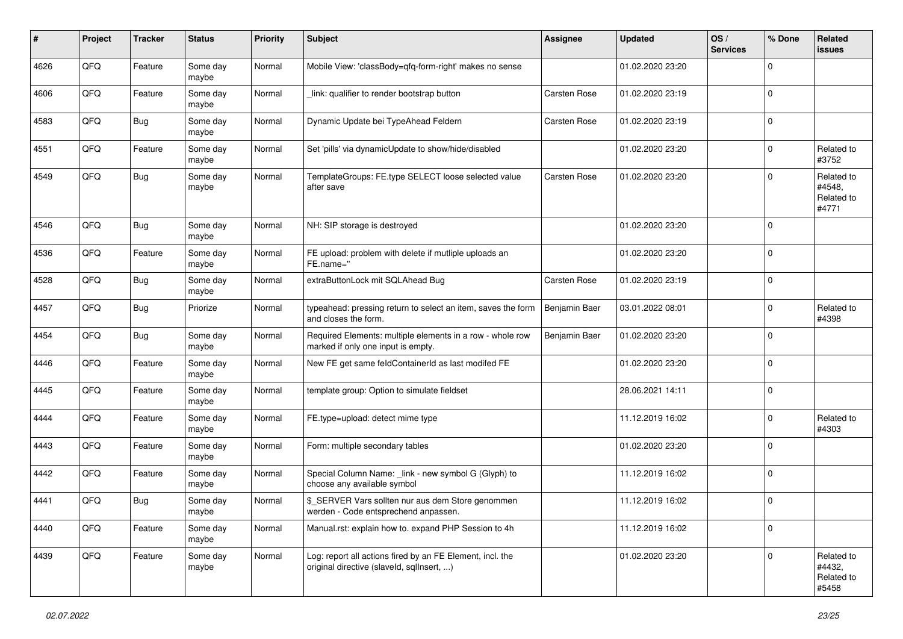| $\pmb{\#}$ | Project | <b>Tracker</b> | <b>Status</b>     | <b>Priority</b> | <b>Subject</b>                                                                                         | <b>Assignee</b> | <b>Updated</b>   | OS/<br><b>Services</b> | % Done      | Related<br>issues                           |
|------------|---------|----------------|-------------------|-----------------|--------------------------------------------------------------------------------------------------------|-----------------|------------------|------------------------|-------------|---------------------------------------------|
| 4626       | QFQ     | Feature        | Some day<br>maybe | Normal          | Mobile View: 'classBody=qfq-form-right' makes no sense                                                 |                 | 01.02.2020 23:20 |                        | $\mathbf 0$ |                                             |
| 4606       | QFQ     | Feature        | Some day<br>maybe | Normal          | link: qualifier to render bootstrap button                                                             | Carsten Rose    | 01.02.2020 23:19 |                        | $\mathbf 0$ |                                             |
| 4583       | QFQ     | Bug            | Some day<br>maybe | Normal          | Dynamic Update bei TypeAhead Feldern                                                                   | Carsten Rose    | 01.02.2020 23:19 |                        | 0           |                                             |
| 4551       | QFQ     | Feature        | Some day<br>maybe | Normal          | Set 'pills' via dynamicUpdate to show/hide/disabled                                                    |                 | 01.02.2020 23:20 |                        | $\mathbf 0$ | Related to<br>#3752                         |
| 4549       | QFQ     | Bug            | Some day<br>maybe | Normal          | TemplateGroups: FE.type SELECT loose selected value<br>after save                                      | Carsten Rose    | 01.02.2020 23:20 |                        | $\mathbf 0$ | Related to<br>#4548.<br>Related to<br>#4771 |
| 4546       | QFQ     | <b>Bug</b>     | Some day<br>maybe | Normal          | NH: SIP storage is destroyed                                                                           |                 | 01.02.2020 23:20 |                        | $\mathbf 0$ |                                             |
| 4536       | QFQ     | Feature        | Some day<br>maybe | Normal          | FE upload: problem with delete if mutliple uploads an<br>FE.name="                                     |                 | 01.02.2020 23:20 |                        | $\mathbf 0$ |                                             |
| 4528       | QFQ     | Bug            | Some day<br>maybe | Normal          | extraButtonLock mit SQLAhead Bug                                                                       | Carsten Rose    | 01.02.2020 23:19 |                        | $\mathbf 0$ |                                             |
| 4457       | QFQ     | Bug            | Priorize          | Normal          | typeahead: pressing return to select an item, saves the form<br>and closes the form.                   | Benjamin Baer   | 03.01.2022 08:01 |                        | $\mathbf 0$ | Related to<br>#4398                         |
| 4454       | QFQ     | <b>Bug</b>     | Some day<br>maybe | Normal          | Required Elements: multiple elements in a row - whole row<br>marked if only one input is empty.        | Benjamin Baer   | 01.02.2020 23:20 |                        | $\mathbf 0$ |                                             |
| 4446       | QFQ     | Feature        | Some day<br>maybe | Normal          | New FE get same feldContainerId as last modifed FE                                                     |                 | 01.02.2020 23:20 |                        | $\mathbf 0$ |                                             |
| 4445       | QFQ     | Feature        | Some day<br>maybe | Normal          | template group: Option to simulate fieldset                                                            |                 | 28.06.2021 14:11 |                        | $\mathbf 0$ |                                             |
| 4444       | QFQ     | Feature        | Some day<br>maybe | Normal          | FE.type=upload: detect mime type                                                                       |                 | 11.12.2019 16:02 |                        | $\mathbf 0$ | Related to<br>#4303                         |
| 4443       | QFQ     | Feature        | Some day<br>maybe | Normal          | Form: multiple secondary tables                                                                        |                 | 01.02.2020 23:20 |                        | $\Omega$    |                                             |
| 4442       | QFQ     | Feature        | Some day<br>maybe | Normal          | Special Column Name: _link - new symbol G (Glyph) to<br>choose any available symbol                    |                 | 11.12.2019 16:02 |                        | $\mathbf 0$ |                                             |
| 4441       | QFQ     | Bug            | Some day<br>maybe | Normal          | \$_SERVER Vars sollten nur aus dem Store genommen<br>werden - Code entsprechend anpassen.              |                 | 11.12.2019 16:02 |                        | $\mathbf 0$ |                                             |
| 4440       | QFQ     | Feature        | Some day<br>maybe | Normal          | Manual.rst: explain how to. expand PHP Session to 4h                                                   |                 | 11.12.2019 16:02 |                        | $\mathbf 0$ |                                             |
| 4439       | QFQ     | Feature        | Some day<br>maybe | Normal          | Log: report all actions fired by an FE Element, incl. the<br>original directive (slaveld, sqllnsert, ) |                 | 01.02.2020 23:20 |                        | $\mathbf 0$ | Related to<br>#4432,<br>Related to<br>#5458 |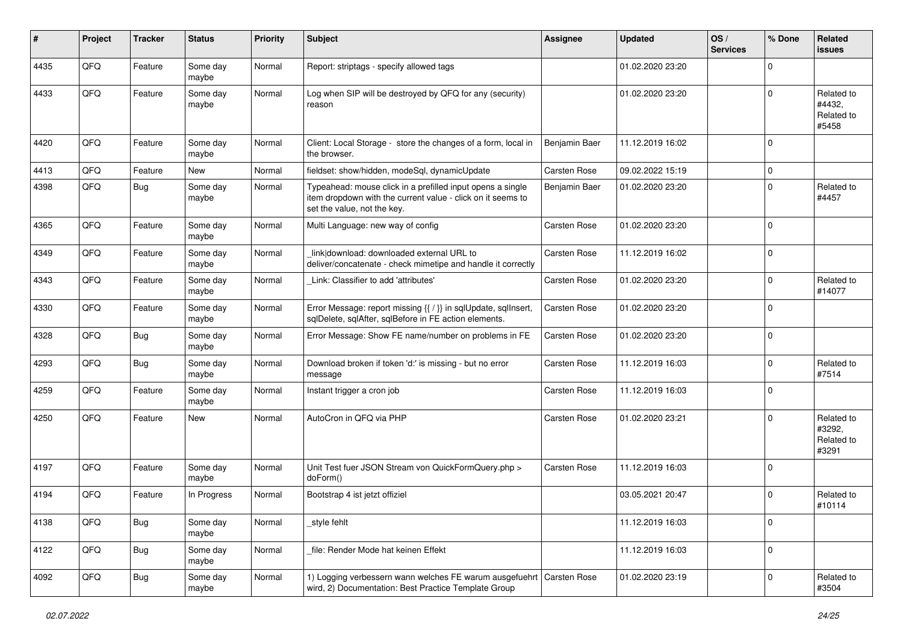| #    | Project | <b>Tracker</b> | <b>Status</b>     | <b>Priority</b> | <b>Subject</b>                                                                                                                                           | <b>Assignee</b> | <b>Updated</b>   | OS/<br><b>Services</b> | % Done      | Related<br>issues                           |
|------|---------|----------------|-------------------|-----------------|----------------------------------------------------------------------------------------------------------------------------------------------------------|-----------------|------------------|------------------------|-------------|---------------------------------------------|
| 4435 | QFQ     | Feature        | Some day<br>maybe | Normal          | Report: striptags - specify allowed tags                                                                                                                 |                 | 01.02.2020 23:20 |                        | $\Omega$    |                                             |
| 4433 | QFQ     | Feature        | Some day<br>maybe | Normal          | Log when SIP will be destroyed by QFQ for any (security)<br>reason                                                                                       |                 | 01.02.2020 23:20 |                        | $\Omega$    | Related to<br>#4432,<br>Related to<br>#5458 |
| 4420 | QFQ     | Feature        | Some day<br>maybe | Normal          | Client: Local Storage - store the changes of a form, local in<br>the browser.                                                                            | Benjamin Baer   | 11.12.2019 16:02 |                        | $\mathbf 0$ |                                             |
| 4413 | QFQ     | Feature        | New               | Normal          | fieldset: show/hidden, modeSql, dynamicUpdate                                                                                                            | Carsten Rose    | 09.02.2022 15:19 |                        | $\mathbf 0$ |                                             |
| 4398 | QFQ     | Bug            | Some day<br>maybe | Normal          | Typeahead: mouse click in a prefilled input opens a single<br>item dropdown with the current value - click on it seems to<br>set the value, not the key. | Benjamin Baer   | 01.02.2020 23:20 |                        | $\Omega$    | Related to<br>#4457                         |
| 4365 | QFQ     | Feature        | Some day<br>maybe | Normal          | Multi Language: new way of config                                                                                                                        | Carsten Rose    | 01.02.2020 23:20 |                        | $\Omega$    |                                             |
| 4349 | QFQ     | Feature        | Some day<br>maybe | Normal          | link download: downloaded external URL to<br>deliver/concatenate - check mimetipe and handle it correctly                                                | Carsten Rose    | 11.12.2019 16:02 |                        | 0           |                                             |
| 4343 | QFQ     | Feature        | Some day<br>maybe | Normal          | Link: Classifier to add 'attributes'                                                                                                                     | Carsten Rose    | 01.02.2020 23:20 |                        | $\Omega$    | Related to<br>#14077                        |
| 4330 | QFQ     | Feature        | Some day<br>maybe | Normal          | Error Message: report missing {{ / }} in sqlUpdate, sqlInsert,<br>sqlDelete, sqlAfter, sqlBefore in FE action elements.                                  | Carsten Rose    | 01.02.2020 23:20 |                        | $\Omega$    |                                             |
| 4328 | QFQ     | Bug            | Some day<br>maybe | Normal          | Error Message: Show FE name/number on problems in FE                                                                                                     | Carsten Rose    | 01.02.2020 23:20 |                        | $\mathbf 0$ |                                             |
| 4293 | QFQ     | <b>Bug</b>     | Some day<br>maybe | Normal          | Download broken if token 'd:' is missing - but no error<br>message                                                                                       | Carsten Rose    | 11.12.2019 16:03 |                        | $\mathbf 0$ | Related to<br>#7514                         |
| 4259 | QFQ     | Feature        | Some day<br>maybe | Normal          | Instant trigger a cron job                                                                                                                               | Carsten Rose    | 11.12.2019 16:03 |                        | 0           |                                             |
| 4250 | QFQ     | Feature        | New               | Normal          | AutoCron in QFQ via PHP                                                                                                                                  | Carsten Rose    | 01.02.2020 23:21 |                        | $\Omega$    | Related to<br>#3292,<br>Related to<br>#3291 |
| 4197 | QFQ     | Feature        | Some day<br>maybe | Normal          | Unit Test fuer JSON Stream von QuickFormQuery.php ><br>doForm()                                                                                          | Carsten Rose    | 11.12.2019 16:03 |                        | $\mathbf 0$ |                                             |
| 4194 | QFQ     | Feature        | In Progress       | Normal          | Bootstrap 4 ist jetzt offiziel                                                                                                                           |                 | 03.05.2021 20:47 |                        | $\Omega$    | Related to<br>#10114                        |
| 4138 | QFQ     | <b>Bug</b>     | Some day<br>maybe | Normal          | _style fehlt                                                                                                                                             |                 | 11.12.2019 16:03 |                        | $\pmb{0}$   |                                             |
| 4122 | QFQ     | <b>Bug</b>     | Some day<br>maybe | Normal          | file: Render Mode hat keinen Effekt                                                                                                                      |                 | 11.12.2019 16:03 |                        | $\pmb{0}$   |                                             |
| 4092 | QFQ     | Bug            | Some day<br>maybe | Normal          | 1) Logging verbessern wann welches FE warum ausgefuehrt Carsten Rose<br>wird, 2) Documentation: Best Practice Template Group                             |                 | 01.02.2020 23:19 |                        | $\pmb{0}$   | Related to<br>#3504                         |